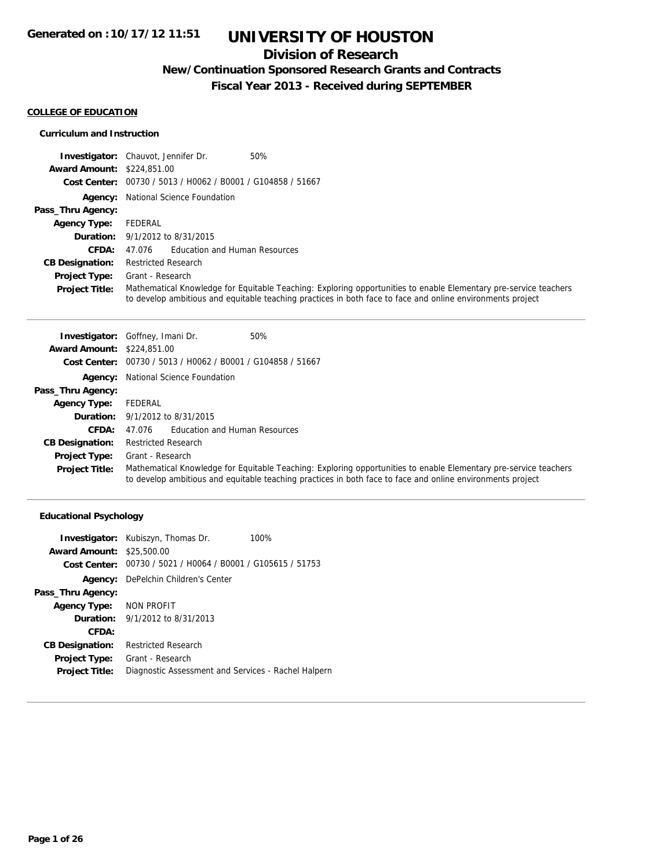## **Division of Research**

## **New/Continuation Sponsored Research Grants and Contracts**

**Fiscal Year 2013 - Received during SEPTEMBER**

### **COLLEGE OF EDUCATION**

### **Curriculum and Instruction**

|                                   | 50%<br><b>Investigator:</b> Chauvot, Jennifer Dr.                                                                                                                                                                              |
|-----------------------------------|--------------------------------------------------------------------------------------------------------------------------------------------------------------------------------------------------------------------------------|
| <b>Award Amount: \$224,851,00</b> |                                                                                                                                                                                                                                |
|                                   | Cost Center: 00730 / 5013 / H0062 / B0001 / G104858 / 51667                                                                                                                                                                    |
|                                   | <b>Agency:</b> National Science Foundation                                                                                                                                                                                     |
| Pass_Thru Agency:                 |                                                                                                                                                                                                                                |
| <b>Agency Type:</b>               | FEDERAL                                                                                                                                                                                                                        |
|                                   | <b>Duration:</b> 9/1/2012 to 8/31/2015                                                                                                                                                                                         |
| CFDA:                             | Education and Human Resources<br>47.076                                                                                                                                                                                        |
| <b>CB Designation:</b>            | <b>Restricted Research</b>                                                                                                                                                                                                     |
| <b>Project Type:</b>              | Grant - Research                                                                                                                                                                                                               |
| <b>Project Title:</b>             | Mathematical Knowledge for Equitable Teaching: Exploring opportunities to enable Elementary pre-service teachers<br>to develop ambitious and equitable teaching practices in both face to face and online environments project |

|                                   | 50%<br><b>Investigator:</b> Goffney, Imani Dr.                                                                                                                                                                                 |  |
|-----------------------------------|--------------------------------------------------------------------------------------------------------------------------------------------------------------------------------------------------------------------------------|--|
| <b>Award Amount: \$224,851,00</b> |                                                                                                                                                                                                                                |  |
|                                   | Cost Center: 00730 / 5013 / H0062 / B0001 / G104858 / 51667                                                                                                                                                                    |  |
|                                   | <b>Agency:</b> National Science Foundation                                                                                                                                                                                     |  |
| Pass_Thru Agency:                 |                                                                                                                                                                                                                                |  |
| <b>Agency Type:</b>               | FEDERAL                                                                                                                                                                                                                        |  |
|                                   | <b>Duration:</b> 9/1/2012 to 8/31/2015                                                                                                                                                                                         |  |
| <b>CFDA:</b>                      | Education and Human Resources<br>47.076                                                                                                                                                                                        |  |
| <b>CB Designation:</b>            | <b>Restricted Research</b>                                                                                                                                                                                                     |  |
| <b>Project Type:</b>              | Grant - Research                                                                                                                                                                                                               |  |
| <b>Project Title:</b>             | Mathematical Knowledge for Equitable Teaching: Exploring opportunities to enable Elementary pre-service teachers<br>to develop ambitious and equitable teaching practices in both face to face and online environments project |  |

### **Educational Psychology**

|                                  | <b>Investigator:</b> Kubiszyn, Thomas Dr.<br>100%           |
|----------------------------------|-------------------------------------------------------------|
| <b>Award Amount: \$25,500.00</b> |                                                             |
|                                  | Cost Center: 00730 / 5021 / H0064 / B0001 / G105615 / 51753 |
|                                  | <b>Agency:</b> DePelchin Children's Center                  |
| Pass_Thru Agency:                |                                                             |
| Agency Type: NON PROFIT          |                                                             |
|                                  | <b>Duration:</b> $9/1/2012$ to $8/31/2013$                  |
| CFDA:                            |                                                             |
| <b>CB Designation:</b>           | <b>Restricted Research</b>                                  |
| <b>Project Type:</b>             | Grant - Research                                            |
| <b>Project Title:</b>            | Diagnostic Assessment and Services - Rachel Halpern         |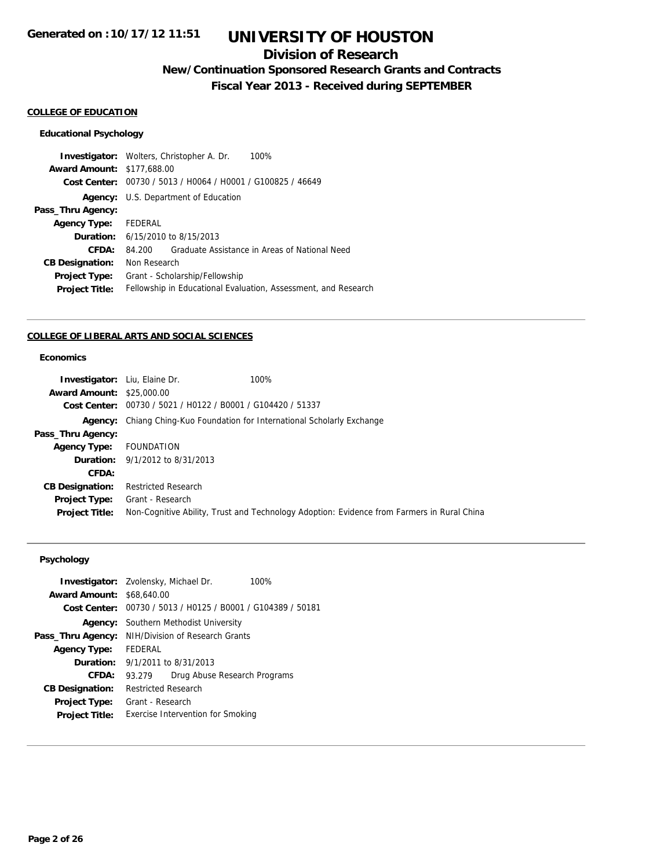## **Division of Research**

## **New/Continuation Sponsored Research Grants and Contracts**

**Fiscal Year 2013 - Received during SEPTEMBER**

### **COLLEGE OF EDUCATION**

### **Educational Psychology**

| 100%<br><b>Investigator:</b> Wolters, Christopher A. Dr.       |
|----------------------------------------------------------------|
| <b>Award Amount: \$177,688.00</b>                              |
| Cost Center: 00730 / 5013 / H0064 / H0001 / G100825 / 46649    |
| Agency: U.S. Department of Education                           |
|                                                                |
| FEDERAL                                                        |
| <b>Duration:</b> 6/15/2010 to 8/15/2013                        |
| Graduate Assistance in Areas of National Need<br>84.200        |
| Non Research                                                   |
| Grant - Scholarship/Fellowship                                 |
| Fellowship in Educational Evaluation, Assessment, and Research |
|                                                                |

#### **COLLEGE OF LIBERAL ARTS AND SOCIAL SCIENCES**

### **Economics**

| <b>Investigator:</b> Liu, Elaine Dr. |                                                             | 100%                                                                                       |
|--------------------------------------|-------------------------------------------------------------|--------------------------------------------------------------------------------------------|
| <b>Award Amount: \$25,000.00</b>     |                                                             |                                                                                            |
|                                      | Cost Center: 00730 / 5021 / H0122 / B0001 / G104420 / 51337 |                                                                                            |
|                                      |                                                             | <b>Agency:</b> Chiang Ching-Kuo Foundation for International Scholarly Exchange            |
| Pass_Thru Agency:                    |                                                             |                                                                                            |
| Agency Type: FOUNDATION              |                                                             |                                                                                            |
|                                      | <b>Duration:</b> 9/1/2012 to 8/31/2013                      |                                                                                            |
| CFDA:                                |                                                             |                                                                                            |
| <b>CB Designation:</b>               | <b>Restricted Research</b>                                  |                                                                                            |
| Project Type:                        | Grant - Research                                            |                                                                                            |
| <b>Project Title:</b>                |                                                             | Non-Cognitive Ability, Trust and Technology Adoption: Evidence from Farmers in Rural China |

## **Psychology**

| <b>Investigator:</b> Zvolensky, Michael Dr. |                            |                                                             | 100% |
|---------------------------------------------|----------------------------|-------------------------------------------------------------|------|
| <b>Award Amount: \$68,640.00</b>            |                            |                                                             |      |
|                                             |                            | Cost Center: 00730 / 5013 / H0125 / B0001 / G104389 / 50181 |      |
| Agency:                                     |                            | Southern Methodist University                               |      |
| Pass_Thru Agency:                           |                            | NIH/Division of Research Grants                             |      |
| <b>Agency Type:</b>                         | FFDFRAL                    |                                                             |      |
| <b>Duration:</b> 9/1/2011 to 8/31/2013      |                            |                                                             |      |
| CFDA:                                       | 93.279                     | Drug Abuse Research Programs                                |      |
| <b>CB Designation:</b>                      | <b>Restricted Research</b> |                                                             |      |
| <b>Project Type:</b>                        | Grant - Research           |                                                             |      |
| <b>Project Title:</b>                       |                            | Exercise Intervention for Smoking                           |      |
|                                             |                            |                                                             |      |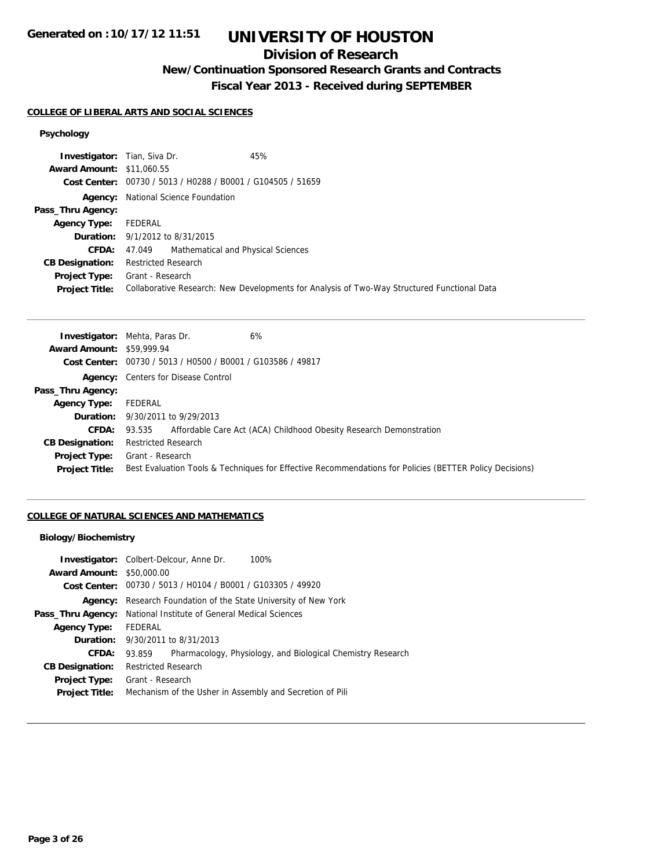## **Division of Research**

## **New/Continuation Sponsored Research Grants and Contracts**

**Fiscal Year 2013 - Received during SEPTEMBER**

### **COLLEGE OF LIBERAL ARTS AND SOCIAL SCIENCES**

### **Psychology**

| 45%<br><b>Investigator:</b> Tian, Siva Dr.                                                  |
|---------------------------------------------------------------------------------------------|
| <b>Award Amount: \$11,060.55</b>                                                            |
| Cost Center: 00730 / 5013 / H0288 / B0001 / G104505 / 51659                                 |
| <b>Agency:</b> National Science Foundation                                                  |
|                                                                                             |
| FEDERAL                                                                                     |
| <b>Duration:</b> 9/1/2012 to 8/31/2015                                                      |
| Mathematical and Physical Sciences<br>47.049                                                |
| <b>Restricted Research</b>                                                                  |
| <b>Project Type:</b> Grant - Research                                                       |
| Collaborative Research: New Developments for Analysis of Two-Way Structured Functional Data |
|                                                                                             |

|                                  | 6%<br><b>Investigator:</b> Mehta, Paras Dr.                                                             |
|----------------------------------|---------------------------------------------------------------------------------------------------------|
| <b>Award Amount: \$59,999.94</b> |                                                                                                         |
|                                  | Cost Center: 00730 / 5013 / H0500 / B0001 / G103586 / 49817                                             |
|                                  | <b>Agency:</b> Centers for Disease Control                                                              |
| Pass_Thru Agency:                |                                                                                                         |
| <b>Agency Type:</b>              | FEDERAL                                                                                                 |
|                                  | <b>Duration:</b> 9/30/2011 to 9/29/2013                                                                 |
| <b>CFDA:</b>                     | 93.535 Affordable Care Act (ACA) Childhood Obesity Research Demonstration                               |
| <b>CB Designation:</b>           | <b>Restricted Research</b>                                                                              |
| Project Type:                    | Grant - Research                                                                                        |
| <b>Project Title:</b>            | Best Evaluation Tools & Techniques for Effective Recommendations for Policies (BETTER Policy Decisions) |
|                                  |                                                                                                         |

### **COLLEGE OF NATURAL SCIENCES AND MATHEMATICS**

### **Biology/Biochemistry**

|                                  | 100%<br><b>Investigator:</b> Colbert-Delcour, Anne Dr.                |
|----------------------------------|-----------------------------------------------------------------------|
| <b>Award Amount: \$50,000.00</b> |                                                                       |
|                                  | <b>Cost Center:</b> $00730 / 5013 / 40104 / 80001 / 6103305 / 49920$  |
| Agency:                          | Research Foundation of the State University of New York               |
| Pass_Thru Agency:                | National Institute of General Medical Sciences                        |
| <b>Agency Type:</b>              | FEDERAL                                                               |
|                                  | <b>Duration:</b> 9/30/2011 to 8/31/2013                               |
| CFDA:                            | Pharmacology, Physiology, and Biological Chemistry Research<br>93.859 |
| <b>CB Designation:</b>           | <b>Restricted Research</b>                                            |
| Project Type:                    | Grant - Research                                                      |
| <b>Project Title:</b>            | Mechanism of the Usher in Assembly and Secretion of Pili              |
|                                  |                                                                       |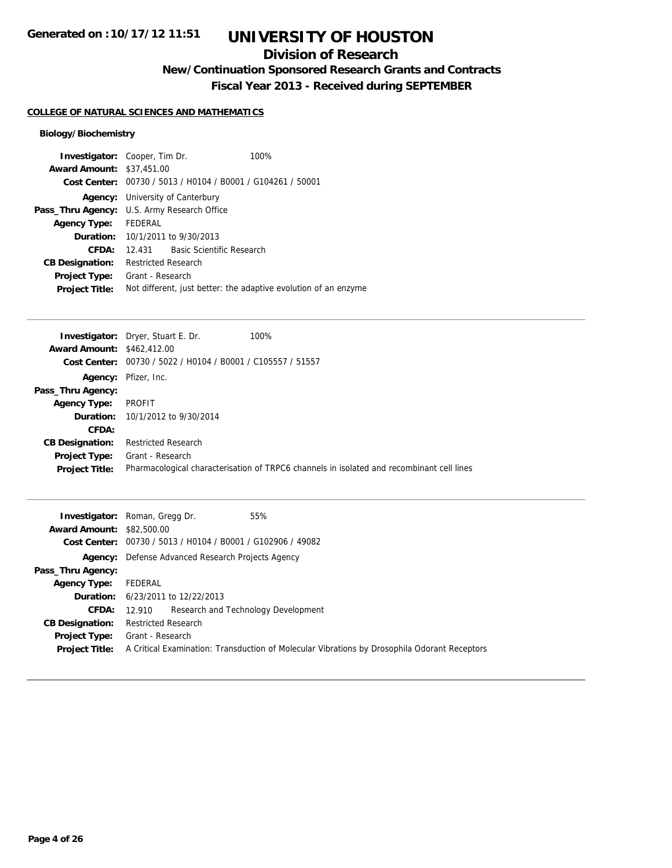## **Division of Research**

**New/Continuation Sponsored Research Grants and Contracts**

**Fiscal Year 2013 - Received during SEPTEMBER**

#### **COLLEGE OF NATURAL SCIENCES AND MATHEMATICS**

### **Biology/Biochemistry**

|                                                   | 100%<br><b>Investigator:</b> Cooper, Tim Dr.                    |
|---------------------------------------------------|-----------------------------------------------------------------|
| <b>Award Amount: \$37,451.00</b>                  |                                                                 |
| Cost Center:                                      | 00730 / 5013 / H0104 / B0001 / G104261 / 50001                  |
|                                                   | <b>Agency:</b> University of Canterbury                         |
| Pass_Thru Agency:                                 | U.S. Army Research Office                                       |
| Agency Type:                                      | FEDERAL                                                         |
| Duration:                                         | 10/1/2011 to 9/30/2013                                          |
| <b>CFDA:</b>                                      | Basic Scientific Research<br>12.431                             |
| <b>CB Designation:</b>                            | <b>Restricted Research</b>                                      |
| <b>Project Type:</b>                              | Grant - Research                                                |
| <b>Project Title:</b>                             | Not different, just better: the adaptive evolution of an enzyme |
|                                                   |                                                                 |
|                                                   |                                                                 |
|                                                   | 100%                                                            |
|                                                   | <b>Investigator:</b> Dryer, Stuart E. Dr.                       |
| <b>Award Amount: \$462,412.00</b><br>Cost Center: | 00730 / 5022 / H0104 / B0001 / C105557 / 51557                  |
| Agency:                                           | Pfizer, Inc.                                                    |
| Pass_Thru Agency:                                 |                                                                 |
| <b>Agency Type:</b>                               | <b>PROFIT</b>                                                   |
| <b>Duration:</b>                                  | 10/1/2012 to 9/30/2014                                          |

**CB Designation:** Restricted Research **Project Type:** Grant - Research **Project Title:** Pharmacological characterisation of TRPC6 channels in isolated and recombinant cell lines

| <b>Award Amount: \$82,500.00</b>       | <b>Investigator:</b> Roman, Gregg Dr.<br>55%<br>Cost Center: 00730 / 5013 / H0104 / B0001 / G102906 / 49082      |
|----------------------------------------|------------------------------------------------------------------------------------------------------------------|
|                                        | <b>Agency:</b> Defense Advanced Research Projects Agency                                                         |
| Pass_Thru Agency:                      |                                                                                                                  |
| <b>Agency Type:</b>                    | FEDERAL                                                                                                          |
|                                        | <b>Duration:</b> 6/23/2011 to 12/22/2013                                                                         |
| <b>CFDA:</b>                           | 12.910 Research and Technology Development                                                                       |
| <b>CB Designation:</b>                 | <b>Restricted Research</b>                                                                                       |
| Project Type:<br><b>Project Title:</b> | Grant - Research<br>A Critical Examination: Transduction of Molecular Vibrations by Drosophila Odorant Receptors |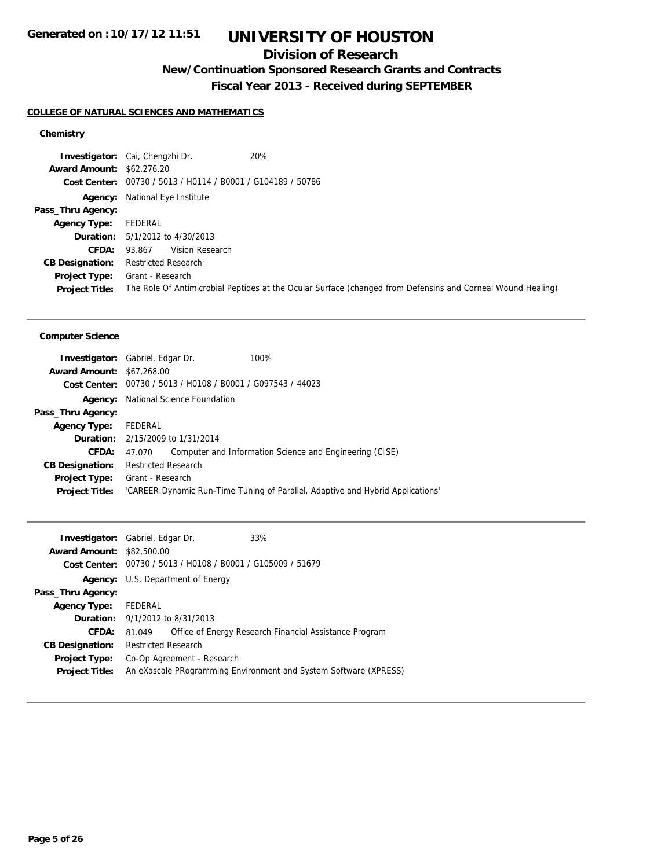## **Division of Research**

## **New/Continuation Sponsored Research Grants and Contracts**

**Fiscal Year 2013 - Received during SEPTEMBER**

### **COLLEGE OF NATURAL SCIENCES AND MATHEMATICS**

### **Chemistry**

| 20%<br><b>Investigator:</b> Cai, Chengzhi Dr.                                                               |
|-------------------------------------------------------------------------------------------------------------|
| <b>Award Amount: \$62,276.20</b>                                                                            |
| Cost Center: 00730 / 5013 / H0114 / B0001 / G104189 / 50786                                                 |
| <b>Agency:</b> National Eye Institute                                                                       |
|                                                                                                             |
| FEDERAL                                                                                                     |
| <b>Duration:</b> $5/1/2012$ to $4/30/2013$                                                                  |
| Vision Research<br>93.867                                                                                   |
| <b>Restricted Research</b>                                                                                  |
| Grant - Research                                                                                            |
| The Role Of Antimicrobial Peptides at the Ocular Surface (changed from Defensins and Corneal Wound Healing) |
|                                                                                                             |

#### **Computer Science**

| <b>Investigator:</b> Gabriel, Edgar Dr. |                            |                                                             | 100%                                                                            |
|-----------------------------------------|----------------------------|-------------------------------------------------------------|---------------------------------------------------------------------------------|
| <b>Award Amount: \$67,268.00</b>        |                            |                                                             |                                                                                 |
|                                         |                            | Cost Center: 00730 / 5013 / H0108 / B0001 / G097543 / 44023 |                                                                                 |
| Agency:                                 |                            | National Science Foundation                                 |                                                                                 |
| Pass_Thru Agency:                       |                            |                                                             |                                                                                 |
| <b>Agency Type:</b>                     | FEDERAL                    |                                                             |                                                                                 |
|                                         |                            | <b>Duration:</b> $2/15/2009$ to $1/31/2014$                 |                                                                                 |
| CFDA:                                   | 47.070                     |                                                             | Computer and Information Science and Engineering (CISE)                         |
| <b>CB Designation:</b>                  | <b>Restricted Research</b> |                                                             |                                                                                 |
| <b>Project Type:</b>                    | Grant - Research           |                                                             |                                                                                 |
| <b>Project Title:</b>                   |                            |                                                             | 'CAREER: Dynamic Run-Time Tuning of Parallel, Adaptive and Hybrid Applications' |
|                                         |                            |                                                             |                                                                                 |

| <b>Investigator:</b> Gabriel, Edgar Dr. |                                          |                                                             | 33%                                                              |
|-----------------------------------------|------------------------------------------|-------------------------------------------------------------|------------------------------------------------------------------|
| <b>Award Amount: \$82,500.00</b>        |                                          |                                                             |                                                                  |
|                                         |                                          | Cost Center: 00730 / 5013 / H0108 / B0001 / G105009 / 51679 |                                                                  |
|                                         | <b>Agency:</b> U.S. Department of Energy |                                                             |                                                                  |
| Pass_Thru Agency:                       |                                          |                                                             |                                                                  |
| <b>Agency Type:</b>                     | FEDERAL                                  |                                                             |                                                                  |
| <b>Duration:</b> 9/1/2012 to 8/31/2013  |                                          |                                                             |                                                                  |
| CFDA:                                   | 81.049                                   |                                                             | Office of Energy Research Financial Assistance Program           |
| <b>CB Designation:</b>                  | <b>Restricted Research</b>               |                                                             |                                                                  |
| <b>Project Type:</b>                    |                                          | Co-Op Agreement - Research                                  |                                                                  |
| <b>Project Title:</b>                   |                                          |                                                             | An eXascale PRogramming Environment and System Software (XPRESS) |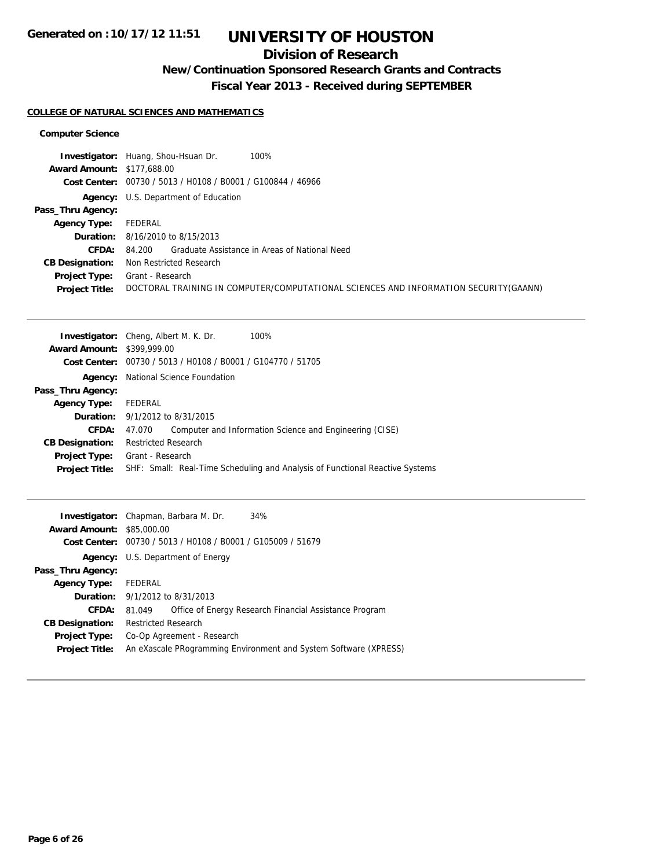## **Division of Research**

## **New/Continuation Sponsored Research Grants and Contracts**

**Fiscal Year 2013 - Received during SEPTEMBER**

### **COLLEGE OF NATURAL SCIENCES AND MATHEMATICS**

#### **Computer Science**

|                                   | 100%<br><b>Investigator:</b> Huang, Shou-Hsuan Dr.                                    |
|-----------------------------------|---------------------------------------------------------------------------------------|
| <b>Award Amount: \$177,688.00</b> |                                                                                       |
|                                   | Cost Center: 00730 / 5013 / H0108 / B0001 / G100844 / 46966                           |
|                                   | <b>Agency:</b> U.S. Department of Education                                           |
| Pass_Thru Agency:                 |                                                                                       |
| <b>Agency Type:</b>               | FEDERAL                                                                               |
|                                   | <b>Duration:</b> 8/16/2010 to 8/15/2013                                               |
| CFDA:                             | 84.200 Graduate Assistance in Areas of National Need                                  |
| <b>CB Designation:</b>            | Non Restricted Research                                                               |
| <b>Project Type:</b>              | Grant - Research                                                                      |
| <b>Project Title:</b>             | DOCTORAL TRAINING IN COMPUTER/COMPUTATIONAL SCIENCES AND INFORMATION SECURITY (GAANN) |

|                                   | <b>Investigator:</b> Cheng, Albert M. K. Dr.<br>100%                         |
|-----------------------------------|------------------------------------------------------------------------------|
| <b>Award Amount: \$399,999.00</b> |                                                                              |
|                                   | Cost Center: 00730 / 5013 / H0108 / B0001 / G104770 / 51705                  |
| Agency:                           | National Science Foundation                                                  |
| Pass_Thru Agency:                 |                                                                              |
| <b>Agency Type:</b>               | FEDERAL                                                                      |
|                                   | <b>Duration:</b> 9/1/2012 to 8/31/2015                                       |
| <b>CFDA:</b>                      | Computer and Information Science and Engineering (CISE)<br>47.070            |
| <b>CB Designation:</b>            | <b>Restricted Research</b>                                                   |
| <b>Project Type:</b>              | Grant - Research                                                             |
| <b>Project Title:</b>             | SHF: Small: Real-Time Scheduling and Analysis of Functional Reactive Systems |
|                                   |                                                                              |

|                                  | <b>Investigator:</b> Chapman, Barbara M. Dr.<br>34%              |
|----------------------------------|------------------------------------------------------------------|
| <b>Award Amount: \$85,000.00</b> |                                                                  |
|                                  | Cost Center: 00730 / 5013 / H0108 / B0001 / G105009 / 51679      |
|                                  | <b>Agency:</b> U.S. Department of Energy                         |
| Pass_Thru Agency:                |                                                                  |
| <b>Agency Type:</b>              | FEDERAL                                                          |
|                                  | <b>Duration:</b> $9/1/2012$ to $8/31/2013$                       |
| CFDA:                            | Office of Energy Research Financial Assistance Program<br>81.049 |
| <b>CB Designation:</b>           | <b>Restricted Research</b>                                       |
| Project Type:                    | Co-Op Agreement - Research                                       |
| <b>Project Title:</b>            | An eXascale PRogramming Environment and System Software (XPRESS) |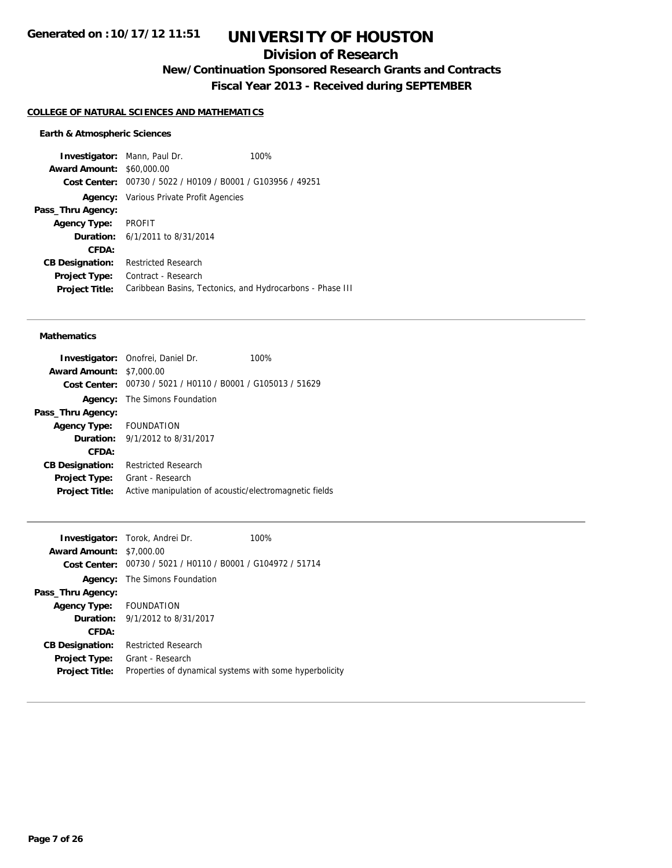## **Division of Research**

**New/Continuation Sponsored Research Grants and Contracts**

**Fiscal Year 2013 - Received during SEPTEMBER**

#### **COLLEGE OF NATURAL SCIENCES AND MATHEMATICS**

#### **Earth & Atmospheric Sciences**

**Investigator:** Mann, Paul Dr. 100% **Award Amount:** \$60,000.00 **Cost Center:** 00730 / 5022 / H0109 / B0001 / G103956 / 49251 **Agency:** Various Private Profit Agencies **Pass\_Thru Agency: Agency Type:** PROFIT **Duration:** 6/1/2011 to 8/31/2014 **CFDA: CB Designation:** Restricted Research **Project Type:** Contract - Research **Project Title:** Caribbean Basins, Tectonics, and Hydrocarbons - Phase III

#### **Mathematics**

|                                 | Investigator: Onofrei, Daniel Dr.                           | 100% |
|---------------------------------|-------------------------------------------------------------|------|
| <b>Award Amount: \$7,000.00</b> |                                                             |      |
|                                 | Cost Center: 00730 / 5021 / H0110 / B0001 / G105013 / 51629 |      |
| Agency:                         | The Simons Foundation                                       |      |
| Pass_Thru Agency:               |                                                             |      |
| Agency Type: FOUNDATION         |                                                             |      |
|                                 | <b>Duration:</b> 9/1/2012 to 8/31/2017                      |      |
| CFDA:                           |                                                             |      |
| <b>CB Designation:</b>          | <b>Restricted Research</b>                                  |      |
| <b>Project Type:</b>            | Grant - Research                                            |      |
| <b>Project Title:</b>           | Active manipulation of acoustic/electromagnetic fields      |      |

|                                 | <b>Investigator:</b> Torok, Andrei Dr.                      | 100% |
|---------------------------------|-------------------------------------------------------------|------|
| <b>Award Amount: \$7,000.00</b> |                                                             |      |
|                                 | Cost Center: 00730 / 5021 / H0110 / B0001 / G104972 / 51714 |      |
|                                 | <b>Agency:</b> The Simons Foundation                        |      |
| Pass_Thru Agency:               |                                                             |      |
| Agency Type: FOUNDATION         |                                                             |      |
|                                 | <b>Duration:</b> 9/1/2012 to 8/31/2017                      |      |
| CFDA:                           |                                                             |      |
| <b>CB Designation:</b>          | <b>Restricted Research</b>                                  |      |
|                                 | <b>Project Type:</b> Grant - Research                       |      |
| <b>Project Title:</b>           | Properties of dynamical systems with some hyperbolicity     |      |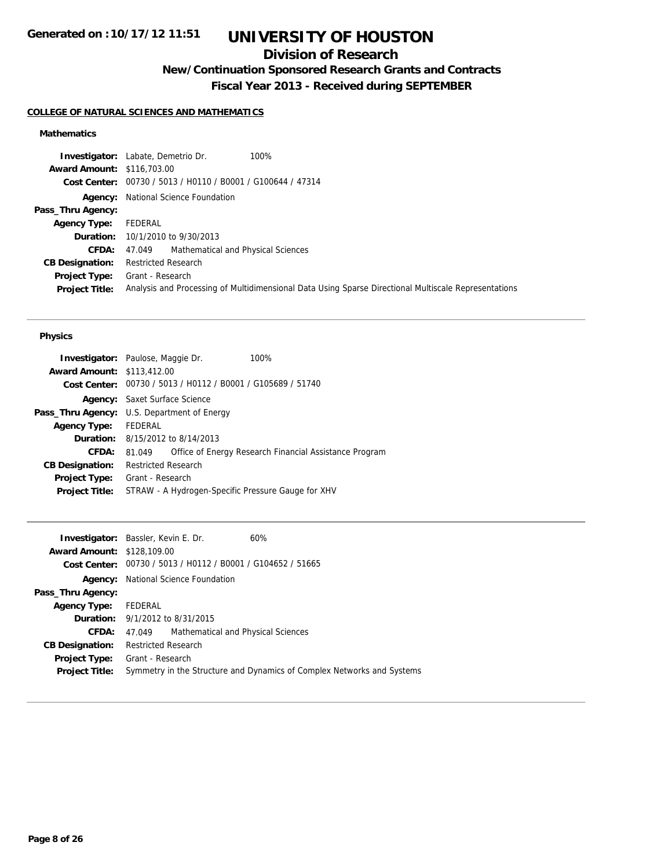## **Division of Research**

# **New/Continuation Sponsored Research Grants and Contracts**

**Fiscal Year 2013 - Received during SEPTEMBER**

### **COLLEGE OF NATURAL SCIENCES AND MATHEMATICS**

### **Mathematics**

|                                   | <b>Investigator:</b> Labate, Demetrio Dr.<br>100%                                                    |
|-----------------------------------|------------------------------------------------------------------------------------------------------|
| <b>Award Amount: \$116,703.00</b> |                                                                                                      |
|                                   | Cost Center: 00730 / 5013 / H0110 / B0001 / G100644 / 47314                                          |
|                                   | <b>Agency:</b> National Science Foundation                                                           |
| Pass_Thru Agency:                 |                                                                                                      |
| <b>Agency Type:</b>               | FEDERAL                                                                                              |
|                                   | <b>Duration:</b> 10/1/2010 to 9/30/2013                                                              |
| <b>CFDA:</b>                      | 47.049 Mathematical and Physical Sciences                                                            |
| <b>CB Designation:</b>            | <b>Restricted Research</b>                                                                           |
|                                   | <b>Project Type:</b> Grant - Research                                                                |
| <b>Project Title:</b>             | Analysis and Processing of Multidimensional Data Using Sparse Directional Multiscale Representations |

#### **Physics**

| <b>Investigator:</b> Paulose, Maggie Dr.           |                                      |                                                             | 100%                                                   |
|----------------------------------------------------|--------------------------------------|-------------------------------------------------------------|--------------------------------------------------------|
| <b>Award Amount: \$113,412.00</b>                  |                                      |                                                             |                                                        |
|                                                    |                                      | Cost Center: 00730 / 5013 / H0112 / B0001 / G105689 / 51740 |                                                        |
|                                                    | <b>Agency:</b> Saxet Surface Science |                                                             |                                                        |
| <b>Pass_Thru Agency:</b> U.S. Department of Energy |                                      |                                                             |                                                        |
| <b>Agency Type:</b>                                | FEDERAL                              |                                                             |                                                        |
|                                                    |                                      | <b>Duration:</b> 8/15/2012 to 8/14/2013                     |                                                        |
| <b>CFDA:</b>                                       | 81.049                               |                                                             | Office of Energy Research Financial Assistance Program |
| <b>CB Designation:</b>                             | <b>Restricted Research</b>           |                                                             |                                                        |
| <b>Project Type:</b>                               | Grant - Research                     |                                                             |                                                        |
| <b>Project Title:</b>                              |                                      |                                                             | STRAW - A Hydrogen-Specific Pressure Gauge for XHV     |
|                                                    |                                      |                                                             |                                                        |

| <b>Investigator:</b> Bassler, Kevin E. Dr. |                                            |                                                             | 60%                                                                    |
|--------------------------------------------|--------------------------------------------|-------------------------------------------------------------|------------------------------------------------------------------------|
| <b>Award Amount: \$128,109.00</b>          |                                            |                                                             |                                                                        |
|                                            |                                            | Cost Center: 00730 / 5013 / H0112 / B0001 / G104652 / 51665 |                                                                        |
|                                            | <b>Agency:</b> National Science Foundation |                                                             |                                                                        |
| Pass_Thru Agency:                          |                                            |                                                             |                                                                        |
| <b>Agency Type:</b>                        | FEDERAL                                    |                                                             |                                                                        |
| <b>Duration:</b> 9/1/2012 to 8/31/2015     |                                            |                                                             |                                                                        |
| CFDA:                                      | 47.049                                     | Mathematical and Physical Sciences                          |                                                                        |
| <b>CB Designation:</b>                     | Restricted Research                        |                                                             |                                                                        |
| <b>Project Type:</b>                       | Grant - Research                           |                                                             |                                                                        |
| <b>Project Title:</b>                      |                                            |                                                             | Symmetry in the Structure and Dynamics of Complex Networks and Systems |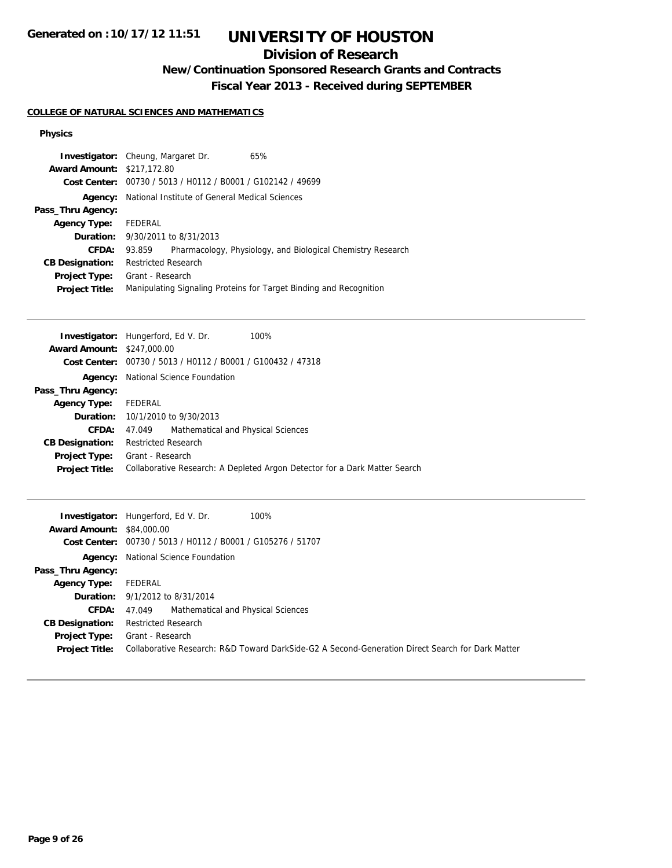## **Division of Research**

## **New/Continuation Sponsored Research Grants and Contracts**

**Fiscal Year 2013 - Received during SEPTEMBER**

#### **COLLEGE OF NATURAL SCIENCES AND MATHEMATICS**

### **Physics**

| Investigator:                         | Cheung, Margaret Dr.<br>65%                                                |  |  |  |
|---------------------------------------|----------------------------------------------------------------------------|--|--|--|
| <b>Award Amount:</b>                  | \$217,172.80                                                               |  |  |  |
| <b>Cost Center:</b>                   | 00730 / 5013 / H0112 / B0001 / G102142 / 49699                             |  |  |  |
| Agency:                               | National Institute of General Medical Sciences                             |  |  |  |
| Pass_Thru Agency:                     |                                                                            |  |  |  |
| <b>Agency Type:</b>                   | <b>FEDERAL</b>                                                             |  |  |  |
| Duration:                             | 9/30/2011 to 8/31/2013                                                     |  |  |  |
| CFDA:                                 | Pharmacology, Physiology, and Biological Chemistry Research<br>93.859      |  |  |  |
| <b>CB Designation:</b>                | <b>Restricted Research</b>                                                 |  |  |  |
| Project Type:                         | Grant - Research                                                           |  |  |  |
| <b>Project Title:</b>                 | Manipulating Signaling Proteins for Target Binding and Recognition         |  |  |  |
|                                       |                                                                            |  |  |  |
|                                       | 100%                                                                       |  |  |  |
| Investigator:<br><b>Award Amount:</b> | Hungerford, Ed V. Dr.<br>\$247,000.00                                      |  |  |  |
|                                       | Cost Center: 00730 / 5013 / H0112 / B0001 / G100432 / 47318                |  |  |  |
|                                       |                                                                            |  |  |  |
| Agency:                               | National Science Foundation                                                |  |  |  |
| Pass_Thru Agency:                     |                                                                            |  |  |  |
| <b>Agency Type:</b>                   | FEDERAL                                                                    |  |  |  |
| Duration:                             | 10/1/2010 to 9/30/2013                                                     |  |  |  |
| CFDA:                                 | Mathematical and Physical Sciences<br>47.049                               |  |  |  |
| <b>CB Designation:</b>                | <b>Restricted Research</b>                                                 |  |  |  |
| Project Type:                         | Grant - Research                                                           |  |  |  |
| <b>Project Title:</b>                 | Collaborative Research: A Depleted Argon Detector for a Dark Matter Search |  |  |  |
|                                       |                                                                            |  |  |  |
| Investigator:                         | 100%<br>Hungerford, Ed V. Dr.                                              |  |  |  |
| <b>Award Amount:</b>                  | \$84,000.00                                                                |  |  |  |
| <b>Cost Center:</b>                   | 00730 / 5013 / H0112 / B0001 / G105276 / 51707                             |  |  |  |
| Agency:                               | National Science Foundation                                                |  |  |  |
| Pass_Thru Agency:                     |                                                                            |  |  |  |
| <b>Agency Type:</b>                   | FEDERAL                                                                    |  |  |  |
| Duration:                             | 9/1/2012 to 8/31/2014                                                      |  |  |  |

**CFDA:** 47.049 Mathematical and Physical Sciences

**CB Designation:** Restricted Research

**Project Type:** Grant - Research **Project Title:** Collaborative Research: R&D Toward DarkSide-G2 A Second-Generation Direct Search for Dark Matter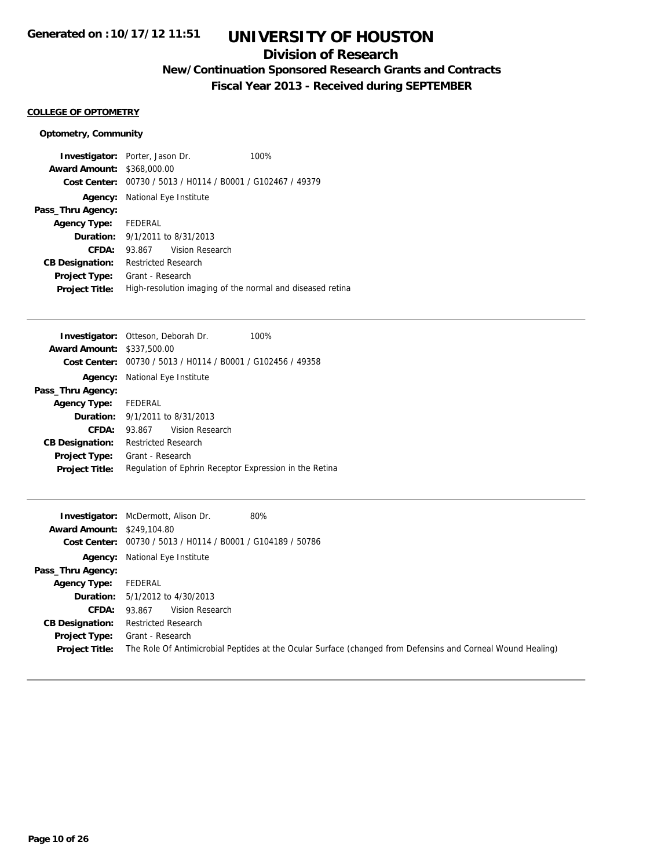## **Division of Research**

**New/Continuation Sponsored Research Grants and Contracts**

**Fiscal Year 2013 - Received during SEPTEMBER**

#### **COLLEGE OF OPTOMETRY**

### **Optometry, Community**

| <b>Award Amount: \$368,000.00</b>             | <b>Investigator:</b> Porter, Jason Dr.<br>Cost Center: 00730 / 5013 / H0114 / B0001 / G102467 / 49379 | 100% |
|-----------------------------------------------|-------------------------------------------------------------------------------------------------------|------|
| Agency:                                       | National Eye Institute                                                                                |      |
| Pass_Thru Agency:                             |                                                                                                       |      |
| <b>Agency Type:</b>                           | FEDERAL                                                                                               |      |
|                                               | <b>Duration:</b> $9/1/2011$ to $8/31/2013$                                                            |      |
| CFDA:                                         | Vision Research<br>93.867                                                                             |      |
| <b>CB Designation:</b>                        | Restricted Research                                                                                   |      |
| <b>Project Type:</b><br><b>Project Title:</b> | Grant - Research<br>High-resolution imaging of the normal and diseased retina                         |      |

|                                   | <b>Investigator:</b> Otteson, Deborah Dr.                   | 100% |
|-----------------------------------|-------------------------------------------------------------|------|
| <b>Award Amount: \$337,500.00</b> |                                                             |      |
|                                   | Cost Center: 00730 / 5013 / H0114 / B0001 / G102456 / 49358 |      |
|                                   | <b>Agency:</b> National Eye Institute                       |      |
| Pass_Thru Agency:                 |                                                             |      |
| <b>Agency Type:</b>               | FEDERAL                                                     |      |
|                                   | <b>Duration:</b> $9/1/2011$ to $8/31/2013$                  |      |
| CFDA:                             | Vision Research<br>93.867                                   |      |
| <b>CB Designation:</b>            | Restricted Research                                         |      |
| <b>Project Type:</b>              | Grant - Research                                            |      |
| <b>Project Title:</b>             | Regulation of Ephrin Receptor Expression in the Retina      |      |
|                                   |                                                             |      |

|                                   | 80%<br><b>Investigator:</b> McDermott, Alison Dr.                                                           |
|-----------------------------------|-------------------------------------------------------------------------------------------------------------|
| <b>Award Amount: \$249,104.80</b> |                                                                                                             |
|                                   | Cost Center: 00730 / 5013 / H0114 / B0001 / G104189 / 50786                                                 |
|                                   | <b>Agency:</b> National Eye Institute                                                                       |
| Pass_Thru Agency:                 |                                                                                                             |
| <b>Agency Type:</b>               | FEDERAL                                                                                                     |
|                                   | <b>Duration:</b> 5/1/2012 to 4/30/2013                                                                      |
| <b>CFDA:</b>                      | Vision Research<br>93.867                                                                                   |
| <b>CB Designation:</b>            | <b>Restricted Research</b>                                                                                  |
| Project Type:                     | Grant - Research                                                                                            |
| <b>Project Title:</b>             | The Role Of Antimicrobial Peptides at the Ocular Surface (changed from Defensins and Corneal Wound Healing) |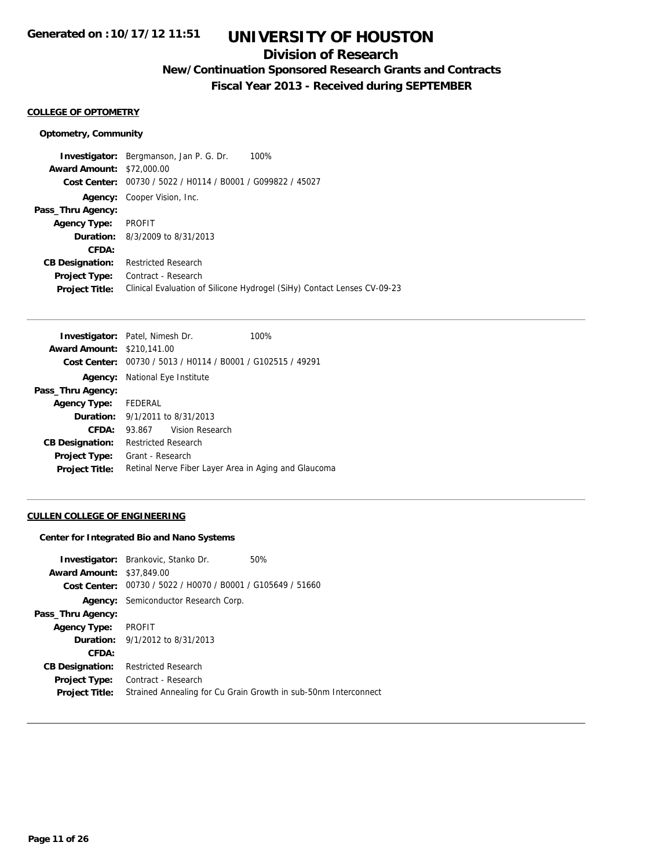## **Division of Research**

## **New/Continuation Sponsored Research Grants and Contracts**

**Fiscal Year 2013 - Received during SEPTEMBER**

#### **COLLEGE OF OPTOMETRY**

#### **Optometry, Community**

**Investigator:** Bergmanson, Jan P. G. Dr. 100% **Award Amount:** \$72,000.00 **Cost Center:** 00730 / 5022 / H0114 / B0001 / G099822 / 45027 **Agency:** Cooper Vision, Inc. **Pass\_Thru Agency: Agency Type:** PROFIT **Duration:** 8/3/2009 to 8/31/2013 **CFDA: CB Designation:** Restricted Research **Project Type:** Contract - Research **Project Title:** Clinical Evaluation of Silicone Hydrogel (SiHy) Contact Lenses CV-09-23

|                                                             | 100%                                                                                                |
|-------------------------------------------------------------|-----------------------------------------------------------------------------------------------------|
|                                                             |                                                                                                     |
| Cost Center: 00730 / 5013 / H0114 / B0001 / G102515 / 49291 |                                                                                                     |
| National Eye Institute                                      |                                                                                                     |
|                                                             |                                                                                                     |
|                                                             |                                                                                                     |
| <b>Duration:</b> 9/1/2011 to 8/31/2013                      |                                                                                                     |
| 93.867 Vision Research                                      |                                                                                                     |
| <b>Restricted Research</b>                                  |                                                                                                     |
| Grant - Research                                            |                                                                                                     |
|                                                             | Retinal Nerve Fiber Layer Area in Aging and Glaucoma                                                |
|                                                             | <b>Investigator:</b> Patel, Nimesh Dr.<br><b>Award Amount: \$210.141.00</b><br>Agency Type: FEDERAL |

#### **CULLEN COLLEGE OF ENGINEERING**

#### **Center for Integrated Bio and Nano Systems**

| Strained Annealing for Cu Grain Growth in sub-50nm Interconnect |
|-----------------------------------------------------------------|
|                                                                 |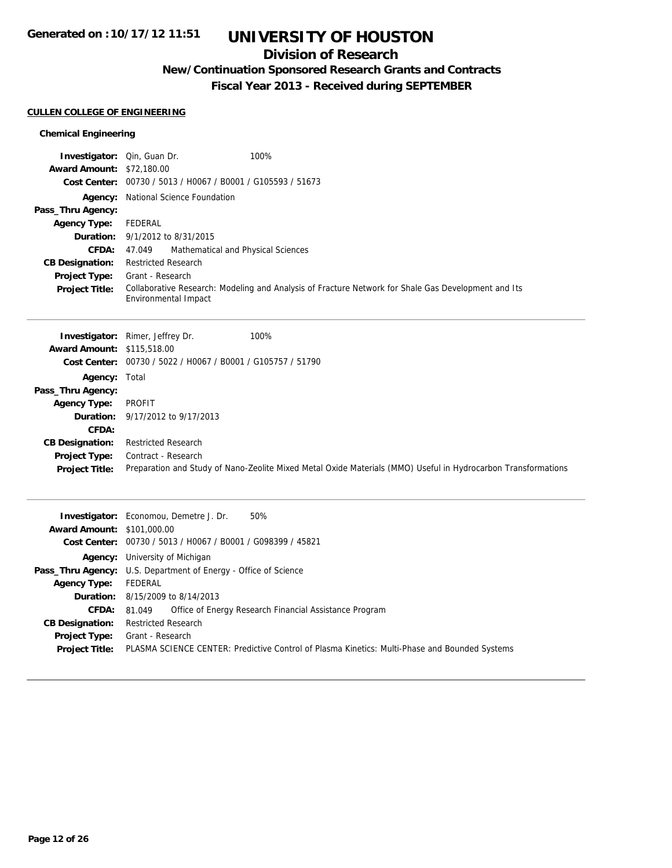## **Division of Research**

## **New/Continuation Sponsored Research Grants and Contracts**

**Fiscal Year 2013 - Received during SEPTEMBER**

#### **CULLEN COLLEGE OF ENGINEERING**

**Award Amount:** \$101,000.00

**Agency Type:** FEDERAL

**CB Designation:** Restricted Research **Project Type:** Grant - Research

**Agency:** University of Michigan

**Duration:** 8/15/2009 to 8/14/2013

Pass\_Thru Agency: U.S. Department of Energy - Office of Science

**Cost Center:** 00730 / 5013 / H0067 / B0001 / G098399 / 45821

**CFDA:** 81.049 Office of Energy Research Financial Assistance Program

**Project Title:** PLASMA SCIENCE CENTER: Predictive Control of Plasma Kinetics: Multi-Phase and Bounded Systems

#### **Chemical Engineering**

| <b>Investigator:</b> Qin, Guan Dr. | 100%                                                                                                          |  |
|------------------------------------|---------------------------------------------------------------------------------------------------------------|--|
| <b>Award Amount:</b>               | \$72,180.00                                                                                                   |  |
|                                    | Cost Center: 00730 / 5013 / H0067 / B0001 / G105593 / 51673                                                   |  |
| Agency:                            | National Science Foundation                                                                                   |  |
| Pass_Thru Agency:                  |                                                                                                               |  |
| <b>Agency Type:</b>                | <b>FEDERAL</b>                                                                                                |  |
| Duration:                          | 9/1/2012 to 8/31/2015                                                                                         |  |
| <b>CFDA:</b>                       | Mathematical and Physical Sciences<br>47.049                                                                  |  |
| <b>CB Designation:</b>             | <b>Restricted Research</b>                                                                                    |  |
| Project Type:                      | Grant - Research                                                                                              |  |
| <b>Project Title:</b>              | Collaborative Research: Modeling and Analysis of Fracture Network for Shale Gas Development and Its           |  |
|                                    | Environmental Impact                                                                                          |  |
|                                    |                                                                                                               |  |
|                                    | <b>Investigator:</b> Rimer, Jeffrey Dr.<br>100%                                                               |  |
| <b>Award Amount: \$115,518.00</b>  |                                                                                                               |  |
|                                    | Cost Center: 00730 / 5022 / H0067 / B0001 / G105757 / 51790                                                   |  |
| Agency:                            | Total                                                                                                         |  |
| Pass_Thru Agency:                  |                                                                                                               |  |
| <b>Agency Type:</b>                | <b>PROFIT</b>                                                                                                 |  |
| Duration:                          | 9/17/2012 to 9/17/2013                                                                                        |  |
| CFDA:                              |                                                                                                               |  |
| <b>CB Designation:</b>             | <b>Restricted Research</b>                                                                                    |  |
| Project Type:                      | Contract - Research                                                                                           |  |
| <b>Project Title:</b>              | Preparation and Study of Nano-Zeolite Mixed Metal Oxide Materials (MMO) Useful in Hydrocarbon Transformations |  |
|                                    |                                                                                                               |  |
|                                    |                                                                                                               |  |
|                                    | <b>Investigator:</b> Economou, Demetre J. Dr.<br>50%                                                          |  |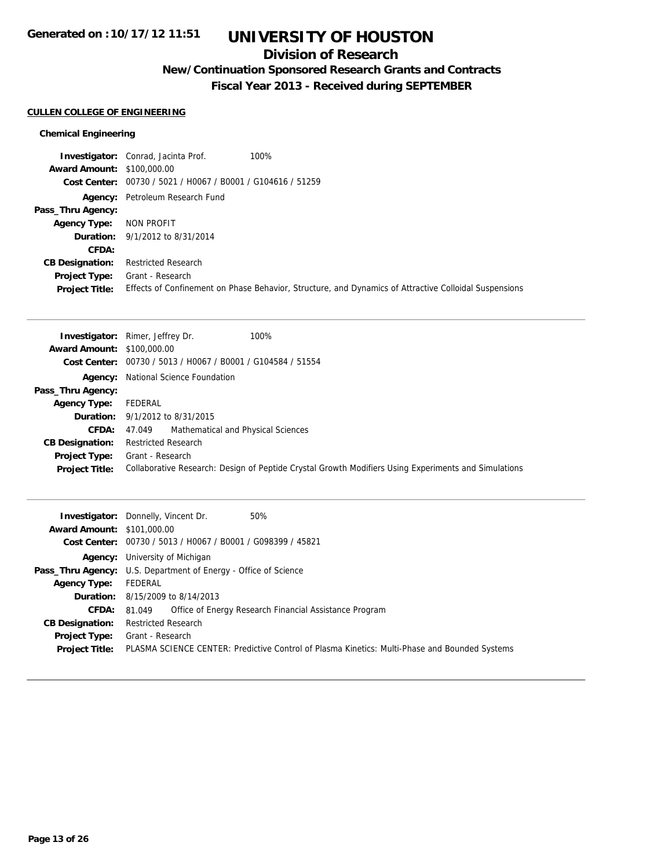## **Division of Research**

# **New/Continuation Sponsored Research Grants and Contracts**

**Fiscal Year 2013 - Received during SEPTEMBER**

### **CULLEN COLLEGE OF ENGINEERING**

### **Chemical Engineering**

|                                   | <b>Investigator:</b> Conrad, Jacinta Prof.<br>100%          |                                                                                                       |
|-----------------------------------|-------------------------------------------------------------|-------------------------------------------------------------------------------------------------------|
| <b>Award Amount: \$100,000.00</b> |                                                             |                                                                                                       |
|                                   | Cost Center: 00730 / 5021 / H0067 / B0001 / G104616 / 51259 |                                                                                                       |
|                                   | <b>Agency:</b> Petroleum Research Fund                      |                                                                                                       |
| Pass_Thru Agency:                 |                                                             |                                                                                                       |
| <b>Agency Type:</b>               | NON PROFIT                                                  |                                                                                                       |
|                                   | <b>Duration:</b> 9/1/2012 to 8/31/2014                      |                                                                                                       |
| CFDA:                             |                                                             |                                                                                                       |
| <b>CB Designation:</b>            | <b>Restricted Research</b>                                  |                                                                                                       |
| Project Type:                     | Grant - Research                                            |                                                                                                       |
| <b>Project Title:</b>             |                                                             | Effects of Confinement on Phase Behavior, Structure, and Dynamics of Attractive Colloidal Suspensions |

|                                   | 100%<br><b>Investigator:</b> Rimer, Jeffrey Dr.                                                      |
|-----------------------------------|------------------------------------------------------------------------------------------------------|
| <b>Award Amount: \$100,000.00</b> |                                                                                                      |
|                                   | Cost Center: 00730 / 5013 / H0067 / B0001 / G104584 / 51554                                          |
|                                   | <b>Agency:</b> National Science Foundation                                                           |
| Pass_Thru Agency:                 |                                                                                                      |
| <b>Agency Type:</b>               | FEDERAL                                                                                              |
|                                   | <b>Duration:</b> $9/1/2012$ to $8/31/2015$                                                           |
| <b>CFDA:</b>                      | Mathematical and Physical Sciences<br>47.049                                                         |
| <b>CB Designation:</b>            | <b>Restricted Research</b>                                                                           |
| <b>Project Type:</b>              | Grant - Research                                                                                     |
| <b>Project Title:</b>             | Collaborative Research: Design of Peptide Crystal Growth Modifiers Using Experiments and Simulations |
|                                   |                                                                                                      |

| <b>Award Amount: \$101,000.00</b> | <b>Investigator:</b> Donnelly, Vincent Dr.<br>50%                                             |
|-----------------------------------|-----------------------------------------------------------------------------------------------|
|                                   | Cost Center: 00730 / 5013 / H0067 / B0001 / G098399 / 45821                                   |
|                                   | <b>Agency:</b> University of Michigan                                                         |
|                                   | <b>Pass_Thru Agency:</b> U.S. Department of Energy - Office of Science                        |
| <b>Agency Type:</b>               | FEDERAL                                                                                       |
|                                   | <b>Duration:</b> 8/15/2009 to 8/14/2013                                                       |
| <b>CFDA:</b>                      | Office of Energy Research Financial Assistance Program<br>81.049                              |
| <b>CB Designation:</b>            | <b>Restricted Research</b>                                                                    |
| <b>Project Type:</b>              | Grant - Research                                                                              |
| <b>Project Title:</b>             | PLASMA SCIENCE CENTER: Predictive Control of Plasma Kinetics: Multi-Phase and Bounded Systems |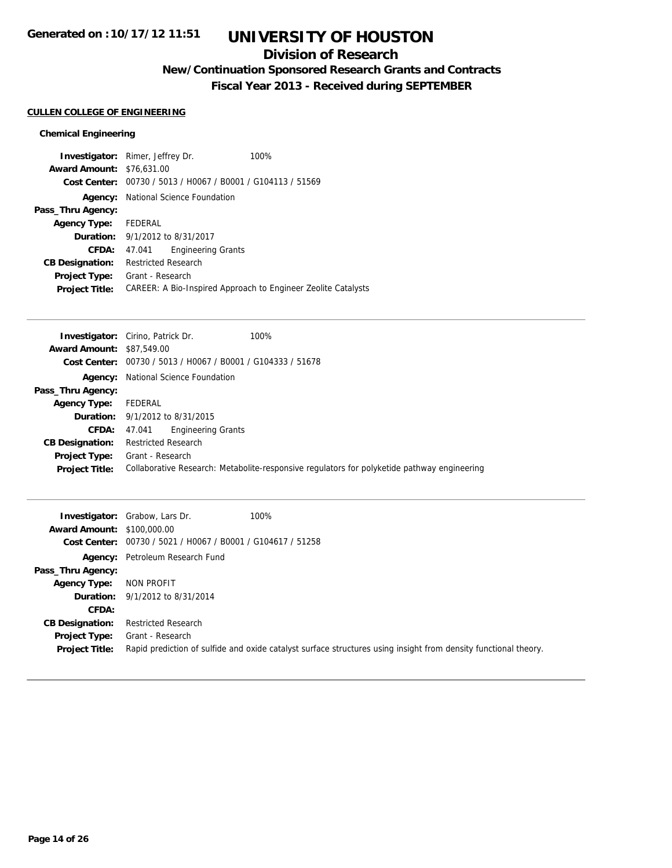## **Division of Research**

# **New/Continuation Sponsored Research Grants and Contracts**

**Fiscal Year 2013 - Received during SEPTEMBER**

### **CULLEN COLLEGE OF ENGINEERING**

### **Chemical Engineering**

|                                  | <b>Investigator:</b> Rimer, Jeffrey Dr.                     | 100%                                                          |
|----------------------------------|-------------------------------------------------------------|---------------------------------------------------------------|
| <b>Award Amount: \$76,631.00</b> |                                                             |                                                               |
|                                  | Cost Center: 00730 / 5013 / H0067 / B0001 / G104113 / 51569 |                                                               |
|                                  | <b>Agency:</b> National Science Foundation                  |                                                               |
| Pass_Thru Agency:                |                                                             |                                                               |
| <b>Agency Type:</b>              | FEDERAL                                                     |                                                               |
|                                  | <b>Duration:</b> 9/1/2012 to 8/31/2017                      |                                                               |
| CFDA:                            | <b>Engineering Grants</b><br>47.041                         |                                                               |
| <b>CB Designation:</b>           | <b>Restricted Research</b>                                  |                                                               |
| <b>Project Type:</b>             | Grant - Research                                            |                                                               |
| <b>Project Title:</b>            |                                                             | CAREER: A Bio-Inspired Approach to Engineer Zeolite Catalysts |

|                                  | <b>Investigator:</b> Cirino, Patrick Dr.   | 100%                                                                                        |  |
|----------------------------------|--------------------------------------------|---------------------------------------------------------------------------------------------|--|
| <b>Award Amount: \$87,549.00</b> |                                            |                                                                                             |  |
|                                  |                                            | Cost Center: $00730 / 5013 / 40067 / 80001 / 6104333 / 51678$                               |  |
|                                  | <b>Agency:</b> National Science Foundation |                                                                                             |  |
| Pass_Thru Agency:                |                                            |                                                                                             |  |
| <b>Agency Type:</b>              | FEDERAL                                    |                                                                                             |  |
|                                  | <b>Duration:</b> 9/1/2012 to 8/31/2015     |                                                                                             |  |
| CFDA:                            | <b>Engineering Grants</b><br>47.041        |                                                                                             |  |
| <b>CB Designation:</b>           | <b>Restricted Research</b>                 |                                                                                             |  |
| Project Type:                    | Grant - Research                           |                                                                                             |  |
| <b>Project Title:</b>            |                                            | Collaborative Research: Metabolite-responsive regulators for polyketide pathway engineering |  |
|                                  |                                            |                                                                                             |  |

| <b>Award Amount: \$100,000.00</b>             | <b>Investigator:</b> Grabow, Lars Dr.<br>Cost Center: 00730 / 5021 / H0067 / B0001 / G104617 / 51258 | 100%                                                                                                            |
|-----------------------------------------------|------------------------------------------------------------------------------------------------------|-----------------------------------------------------------------------------------------------------------------|
|                                               | Agency: Petroleum Research Fund                                                                      |                                                                                                                 |
| Pass_Thru Agency:                             |                                                                                                      |                                                                                                                 |
| <b>Agency Type:</b>                           | NON PROFIT                                                                                           |                                                                                                                 |
|                                               | <b>Duration:</b> 9/1/2012 to 8/31/2014                                                               |                                                                                                                 |
| CFDA:                                         |                                                                                                      |                                                                                                                 |
| <b>CB Designation:</b>                        | <b>Restricted Research</b>                                                                           |                                                                                                                 |
| <b>Project Type:</b><br><b>Project Title:</b> | Grant - Research                                                                                     | Rapid prediction of sulfide and oxide catalyst surface structures using insight from density functional theory. |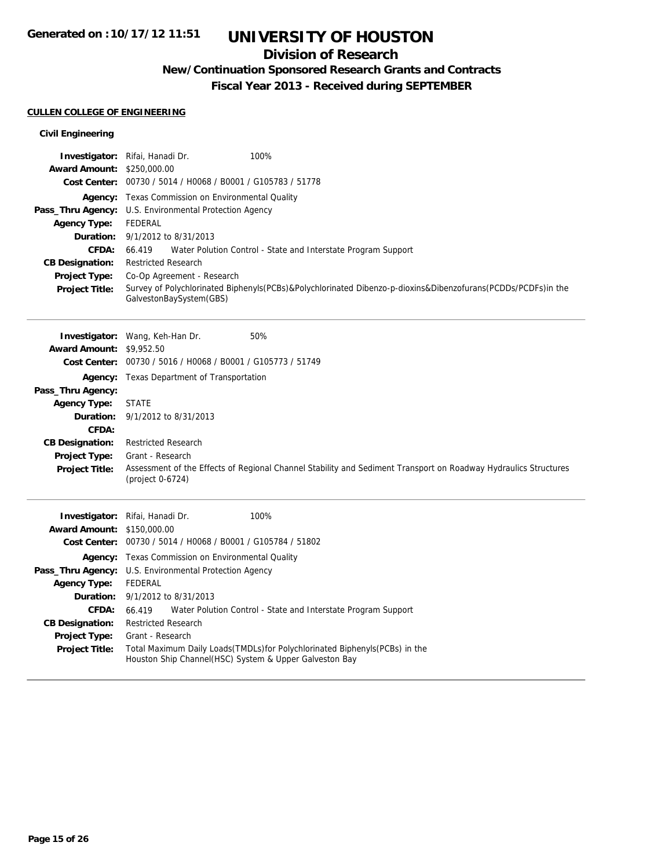## **Division of Research**

## **New/Continuation Sponsored Research Grants and Contracts**

**Fiscal Year 2013 - Received during SEPTEMBER**

### **CULLEN COLLEGE OF ENGINEERING**

### **Civil Engineering**

|                                               | 100%<br>Investigator: Rifai, Hanadi Dr.                                                                                                 |  |  |
|-----------------------------------------------|-----------------------------------------------------------------------------------------------------------------------------------------|--|--|
| <b>Award Amount:</b><br><b>Cost Center:</b>   | \$250,000.00<br>00730 / 5014 / H0068 / B0001 / G105783 / 51778                                                                          |  |  |
|                                               | <b>Agency:</b> Texas Commission on Environmental Quality                                                                                |  |  |
|                                               | Pass_Thru Agency: U.S. Environmental Protection Agency                                                                                  |  |  |
| <b>Agency Type:</b>                           | <b>FEDERAL</b>                                                                                                                          |  |  |
| Duration:                                     | 9/1/2012 to 8/31/2013                                                                                                                   |  |  |
| <b>CFDA:</b>                                  | Water Polution Control - State and Interstate Program Support<br>66.419                                                                 |  |  |
| <b>CB Designation:</b>                        | <b>Restricted Research</b>                                                                                                              |  |  |
| Project Type:                                 | Co-Op Agreement - Research                                                                                                              |  |  |
| <b>Project Title:</b>                         | Survey of Polychlorinated Biphenyls(PCBs)&Polychlorinated Dibenzo-p-dioxins&Dibenzofurans(PCDDs/PCDFs)in the<br>GalvestonBaySystem(GBS) |  |  |
|                                               |                                                                                                                                         |  |  |
|                                               | 50%<br><b>Investigator:</b> Wang, Keh-Han Dr.                                                                                           |  |  |
| <b>Award Amount:</b><br><b>Cost Center:</b>   | \$9,952.50<br>00730 / 5016 / H0068 / B0001 / G105773 / 51749                                                                            |  |  |
|                                               |                                                                                                                                         |  |  |
| Pass_Thru Agency:                             | <b>Agency:</b> Texas Department of Transportation                                                                                       |  |  |
| <b>Agency Type:</b>                           | <b>STATE</b>                                                                                                                            |  |  |
| Duration:                                     | 9/1/2012 to 8/31/2013                                                                                                                   |  |  |
| CFDA:                                         |                                                                                                                                         |  |  |
| <b>CB Designation:</b>                        | <b>Restricted Research</b>                                                                                                              |  |  |
| <b>Project Type:</b>                          | Grant - Research                                                                                                                        |  |  |
| <b>Project Title:</b>                         | Assessment of the Effects of Regional Channel Stability and Sediment Transport on Roadway Hydraulics Structures<br>(project 0-6724)     |  |  |
|                                               |                                                                                                                                         |  |  |
|                                               | Investigator: Rifai, Hanadi Dr.<br>100%                                                                                                 |  |  |
| <b>Award Amount:</b>                          | \$150,000.00                                                                                                                            |  |  |
| <b>Cost Center:</b>                           | 00730 / 5014 / H0068 / B0001 / G105784 / 51802                                                                                          |  |  |
| Agency:                                       | Texas Commission on Environmental Quality                                                                                               |  |  |
|                                               | Pass_Thru Agency: U.S. Environmental Protection Agency                                                                                  |  |  |
| <b>Agency Type:</b>                           | <b>FEDERAL</b>                                                                                                                          |  |  |
| Duration:                                     | 9/1/2012 to 8/31/2013                                                                                                                   |  |  |
| <b>CFDA:</b>                                  | Water Polution Control - State and Interstate Program Support<br>66.419                                                                 |  |  |
| <b>CB Designation:</b>                        | <b>Restricted Research</b><br>Grant - Research                                                                                          |  |  |
| <b>Project Type:</b><br><b>Project Title:</b> | Total Maximum Daily Loads(TMDLs)for Polychlorinated Biphenyls(PCBs) in the                                                              |  |  |
|                                               | Houston Ship Channel(HSC) System & Upper Galveston Bay                                                                                  |  |  |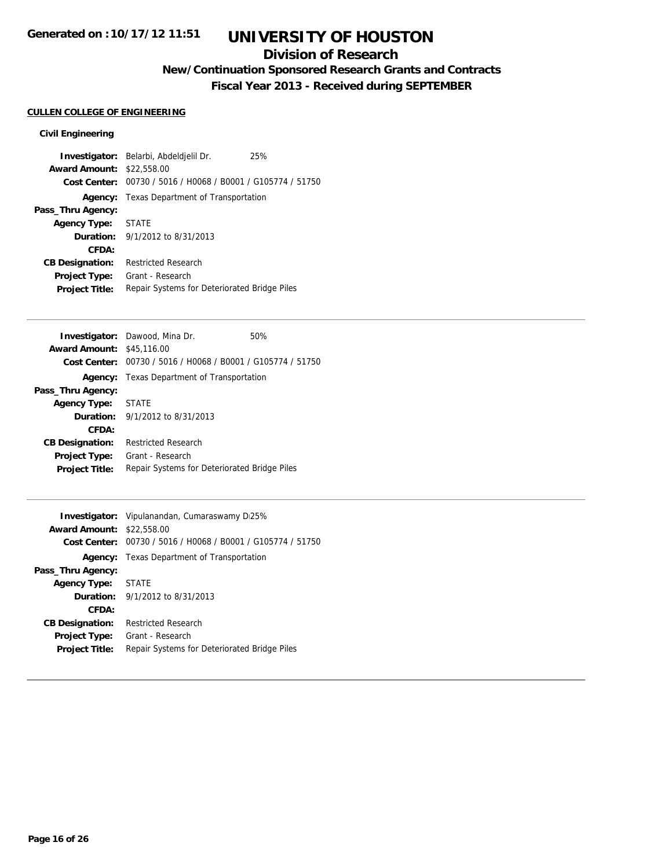## **Division of Research**

# **New/Continuation Sponsored Research Grants and Contracts**

**Fiscal Year 2013 - Received during SEPTEMBER**

## **CULLEN COLLEGE OF ENGINEERING**

### **Civil Engineering**

|                                  | Investigator: Belarbi, Abdeldjelil Dr.                      | 25% |
|----------------------------------|-------------------------------------------------------------|-----|
| <b>Award Amount: \$22,558.00</b> |                                                             |     |
|                                  | Cost Center: 00730 / 5016 / H0068 / B0001 / G105774 / 51750 |     |
|                                  | <b>Agency:</b> Texas Department of Transportation           |     |
| Pass_Thru Agency:                |                                                             |     |
| Agency Type: STATE               |                                                             |     |
|                                  | <b>Duration:</b> 9/1/2012 to 8/31/2013                      |     |
| CFDA:                            |                                                             |     |
| <b>CB Designation:</b>           | <b>Restricted Research</b>                                  |     |
| Project Type:                    | Grant - Research                                            |     |
| <b>Project Title:</b>            | Repair Systems for Deteriorated Bridge Piles                |     |

|                                  | <b>Investigator:</b> Dawood, Mina Dr.                       | 50% |
|----------------------------------|-------------------------------------------------------------|-----|
| <b>Award Amount: \$45,116.00</b> |                                                             |     |
|                                  | Cost Center: 00730 / 5016 / H0068 / B0001 / G105774 / 51750 |     |
| Agency:                          | Texas Department of Transportation                          |     |
| Pass_Thru Agency:                |                                                             |     |
| <b>Agency Type:</b>              | <b>STATE</b>                                                |     |
|                                  | <b>Duration:</b> $9/1/2012$ to $8/31/2013$                  |     |
| CFDA:                            |                                                             |     |
| <b>CB Designation:</b>           | Restricted Research                                         |     |
| <b>Project Type:</b>             | Grant - Research                                            |     |
| <b>Project Title:</b>            | Repair Systems for Deteriorated Bridge Piles                |     |
|                                  |                                                             |     |

|                                  | <b>Investigator:</b> Vipulanandan, Cumaraswamy D25%         |
|----------------------------------|-------------------------------------------------------------|
| <b>Award Amount: \$22,558.00</b> |                                                             |
|                                  | Cost Center: 00730 / 5016 / H0068 / B0001 / G105774 / 51750 |
|                                  | Agency: Texas Department of Transportation                  |
| Pass_Thru Agency:                |                                                             |
| Agency Type: STATE               |                                                             |
|                                  | <b>Duration:</b> $9/1/2012$ to $8/31/2013$                  |
| CFDA:                            |                                                             |
| <b>CB Designation:</b>           | <b>Restricted Research</b>                                  |
| <b>Project Type:</b>             | Grant - Research                                            |
| <b>Project Title:</b>            | Repair Systems for Deteriorated Bridge Piles                |
|                                  |                                                             |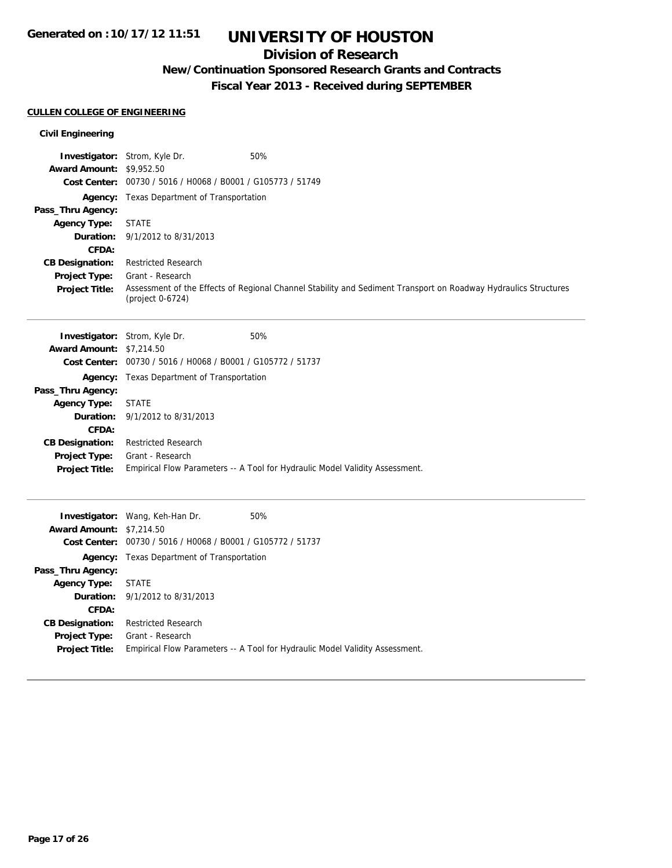## **Division of Research**

# **New/Continuation Sponsored Research Grants and Contracts**

**Fiscal Year 2013 - Received during SEPTEMBER**

### **CULLEN COLLEGE OF ENGINEERING**

### **Civil Engineering**

| <b>Award Amount: \$9,952.50</b>        | Investigator: Strom, Kyle Dr.<br>50%                                                                                                |
|----------------------------------------|-------------------------------------------------------------------------------------------------------------------------------------|
|                                        | Cost Center: 00730 / 5016 / H0068 / B0001 / G105773 / 51749                                                                         |
|                                        | <b>Agency:</b> Texas Department of Transportation                                                                                   |
| Pass_Thru Agency:                      |                                                                                                                                     |
| <b>Agency Type:</b>                    | <b>STATE</b>                                                                                                                        |
| Duration:                              | 9/1/2012 to 8/31/2013                                                                                                               |
| CFDA:                                  |                                                                                                                                     |
| <b>CB Designation:</b>                 | <b>Restricted Research</b>                                                                                                          |
| Project Type:<br><b>Project Title:</b> | Grant - Research<br>Assessment of the Effects of Regional Channel Stability and Sediment Transport on Roadway Hydraulics Structures |
|                                        | (project 0-6724)                                                                                                                    |
|                                        |                                                                                                                                     |
|                                        | <b>Investigator:</b> Strom, Kyle Dr.<br>50%                                                                                         |
| <b>Award Amount: \$7,214.50</b>        |                                                                                                                                     |
|                                        | Cost Center: 00730 / 5016 / H0068 / B0001 / G105772 / 51737                                                                         |
|                                        | Agency: Texas Department of Transportation                                                                                          |
| Pass_Thru Agency:                      |                                                                                                                                     |
| <b>Agency Type:</b>                    | <b>STATE</b>                                                                                                                        |
| Duration:                              | 9/1/2012 to 8/31/2013                                                                                                               |
| CFDA:                                  |                                                                                                                                     |
| <b>CB Designation:</b>                 | <b>Restricted Research</b>                                                                                                          |
| Project Type:                          | Grant - Research<br>Empirical Flow Parameters -- A Tool for Hydraulic Model Validity Assessment.                                    |
| <b>Project Title:</b>                  |                                                                                                                                     |
|                                        |                                                                                                                                     |
|                                        | 50%<br><b>Investigator:</b> Wang, Keh-Han Dr.                                                                                       |
| <b>Award Amount: \$7,214.50</b>        |                                                                                                                                     |
|                                        | Cost Center: 00730 / 5016 / H0068 / B0001 / G105772 / 51737                                                                         |
|                                        | <b>Agency:</b> Texas Department of Transportation                                                                                   |
| Pass_Thru Agency:                      |                                                                                                                                     |
| <b>Agency Type:</b>                    | <b>STATE</b>                                                                                                                        |
| Duration:                              | 9/1/2012 to 8/31/2013                                                                                                               |
| CFDA:                                  |                                                                                                                                     |
| <b>CB Designation:</b>                 | <b>Restricted Research</b>                                                                                                          |

**Project Title:** Empirical Flow Parameters -- A Tool for Hydraulic Model Validity Assessment.

**Project Type:** Grant - Research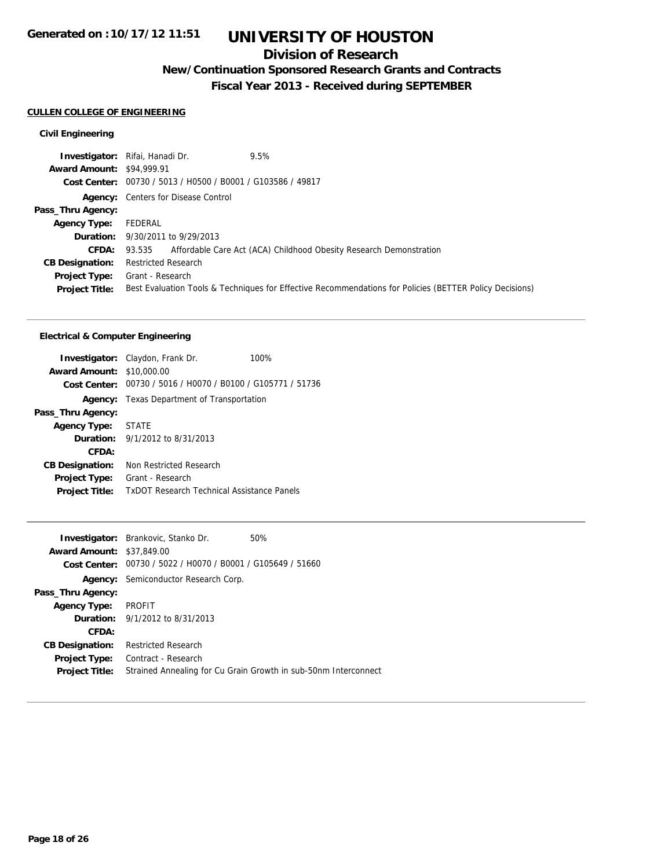## **Division of Research**

# **New/Continuation Sponsored Research Grants and Contracts**

**Fiscal Year 2013 - Received during SEPTEMBER**

### **CULLEN COLLEGE OF ENGINEERING**

### **Civil Engineering**

|                                  | <b>Investigator:</b> Rifai, Hanadi Dr.<br>9.5%                                                          |
|----------------------------------|---------------------------------------------------------------------------------------------------------|
| <b>Award Amount: \$94,999.91</b> |                                                                                                         |
|                                  | Cost Center: 00730 / 5013 / H0500 / B0001 / G103586 / 49817                                             |
|                                  | <b>Agency:</b> Centers for Disease Control                                                              |
| Pass_Thru Agency:                |                                                                                                         |
| <b>Agency Type:</b>              | FEDERAL                                                                                                 |
|                                  | <b>Duration:</b> 9/30/2011 to 9/29/2013                                                                 |
| <b>CFDA:</b>                     | 93.535 Affordable Care Act (ACA) Childhood Obesity Research Demonstration                               |
| <b>CB Designation:</b>           | <b>Restricted Research</b>                                                                              |
| <b>Project Type:</b>             | Grant - Research                                                                                        |
| <b>Project Title:</b>            | Best Evaluation Tools & Techniques for Effective Recommendations for Policies (BETTER Policy Decisions) |

#### **Electrical & Computer Engineering**

|                                  | <b>Investigator:</b> Claydon, Frank Dr.                     | 100% |
|----------------------------------|-------------------------------------------------------------|------|
| <b>Award Amount: \$10,000.00</b> |                                                             |      |
|                                  | Cost Center: 00730 / 5016 / H0070 / B0100 / G105771 / 51736 |      |
| Agency:                          | Texas Department of Transportation                          |      |
| Pass_Thru Agency:                |                                                             |      |
| <b>Agency Type: STATE</b>        |                                                             |      |
|                                  | <b>Duration:</b> 9/1/2012 to 8/31/2013                      |      |
| CFDA:                            |                                                             |      |
| <b>CB Designation:</b>           | Non Restricted Research                                     |      |
| <b>Project Type:</b>             | Grant - Research                                            |      |
| <b>Project Title:</b>            | <b>TxDOT Research Technical Assistance Panels</b>           |      |
|                                  |                                                             |      |

|                                  | <b>Investigator:</b> Brankovic, Stanko Dr.                  | 50%                                                             |
|----------------------------------|-------------------------------------------------------------|-----------------------------------------------------------------|
| <b>Award Amount: \$37,849.00</b> |                                                             |                                                                 |
|                                  | Cost Center: 00730 / 5022 / H0070 / B0001 / G105649 / 51660 |                                                                 |
|                                  | <b>Agency:</b> Semiconductor Research Corp.                 |                                                                 |
| Pass_Thru Agency:                |                                                             |                                                                 |
| <b>Agency Type:</b>              | PROFIT                                                      |                                                                 |
|                                  | <b>Duration:</b> 9/1/2012 to 8/31/2013                      |                                                                 |
| CFDA:                            |                                                             |                                                                 |
| <b>CB Designation:</b>           | <b>Restricted Research</b>                                  |                                                                 |
| <b>Project Type:</b>             | Contract - Research                                         |                                                                 |
| <b>Project Title:</b>            |                                                             | Strained Annealing for Cu Grain Growth in sub-50nm Interconnect |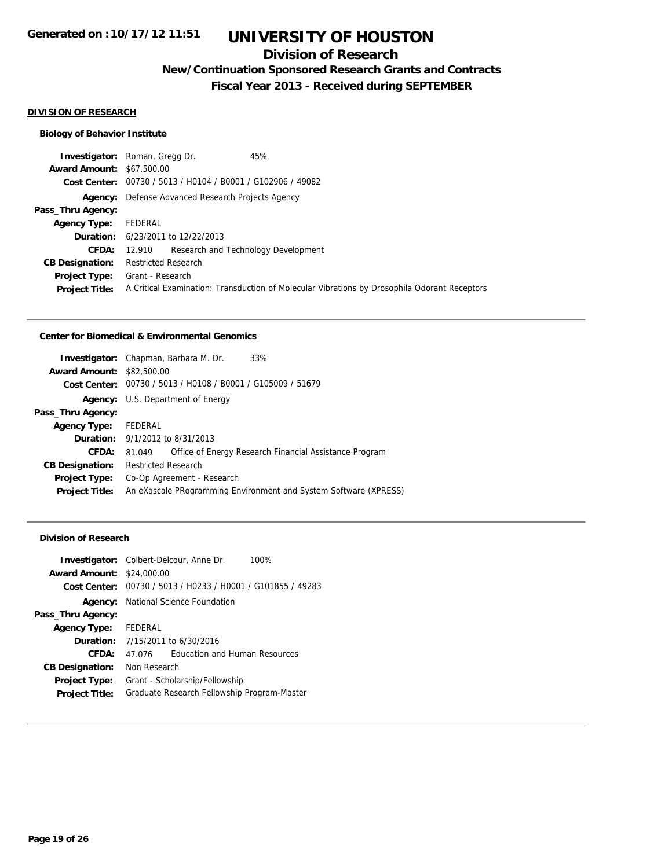## **Division of Research**

## **New/Continuation Sponsored Research Grants and Contracts**

**Fiscal Year 2013 - Received during SEPTEMBER**

#### **DIVISION OF RESEARCH**

### **Biology of Behavior Institute**

|                                  | 45%<br><b>Investigator:</b> Roman, Gregg Dr.                |                                                                                              |
|----------------------------------|-------------------------------------------------------------|----------------------------------------------------------------------------------------------|
| <b>Award Amount: \$67,500.00</b> |                                                             |                                                                                              |
|                                  | Cost Center: 00730 / 5013 / H0104 / B0001 / G102906 / 49082 |                                                                                              |
|                                  | <b>Agency:</b> Defense Advanced Research Projects Agency    |                                                                                              |
| Pass_Thru Agency:                |                                                             |                                                                                              |
| <b>Agency Type:</b>              | FEDERAL                                                     |                                                                                              |
|                                  | <b>Duration:</b> 6/23/2011 to 12/22/2013                    |                                                                                              |
| <b>CFDA:</b>                     | 12.910 Research and Technology Development                  |                                                                                              |
| <b>CB Designation:</b>           | <b>Restricted Research</b>                                  |                                                                                              |
|                                  | <b>Project Type:</b> Grant - Research                       |                                                                                              |
| <b>Project Title:</b>            |                                                             | A Critical Examination: Transduction of Molecular Vibrations by Drosophila Odorant Receptors |

#### **Center for Biomedical & Environmental Genomics**

|                                  | <b>Investigator:</b> Chapman, Barbara M. Dr.                | 33%                                                              |
|----------------------------------|-------------------------------------------------------------|------------------------------------------------------------------|
| <b>Award Amount: \$82,500.00</b> |                                                             |                                                                  |
|                                  | Cost Center: 00730 / 5013 / H0108 / B0001 / G105009 / 51679 |                                                                  |
|                                  | Agency: U.S. Department of Energy                           |                                                                  |
| Pass_Thru Agency:                |                                                             |                                                                  |
| <b>Agency Type:</b>              | FEDERAL                                                     |                                                                  |
|                                  | <b>Duration:</b> 9/1/2012 to 8/31/2013                      |                                                                  |
| CFDA:                            | 81.049                                                      | Office of Energy Research Financial Assistance Program           |
| <b>CB Designation:</b>           | <b>Restricted Research</b>                                  |                                                                  |
| <b>Project Type:</b>             | Co-Op Agreement - Research                                  |                                                                  |
| <b>Project Title:</b>            |                                                             | An eXascale PRogramming Environment and System Software (XPRESS) |
|                                  |                                                             |                                                                  |

#### **Division of Research**

| <b>Investigator:</b> Colbert-Delcour, Anne Dr.<br><b>Award Amount: \$24,000.00</b> |                                             |                                                             | 100% |
|------------------------------------------------------------------------------------|---------------------------------------------|-------------------------------------------------------------|------|
|                                                                                    |                                             | Cost Center: 00730 / 5013 / H0233 / H0001 / G101855 / 49283 |      |
|                                                                                    | <b>Agency:</b> National Science Foundation  |                                                             |      |
| Pass_Thru Agency:                                                                  |                                             |                                                             |      |
| <b>Agency Type:</b> FEDERAL                                                        |                                             |                                                             |      |
|                                                                                    | <b>Duration:</b> 7/15/2011 to 6/30/2016     |                                                             |      |
| CFDA:                                                                              | 47 076                                      | <b>Education and Human Resources</b>                        |      |
| <b>CB Designation:</b>                                                             | Non Research                                |                                                             |      |
| <b>Project Type:</b>                                                               | Grant - Scholarship/Fellowship              |                                                             |      |
| <b>Project Title:</b>                                                              | Graduate Research Fellowship Program-Master |                                                             |      |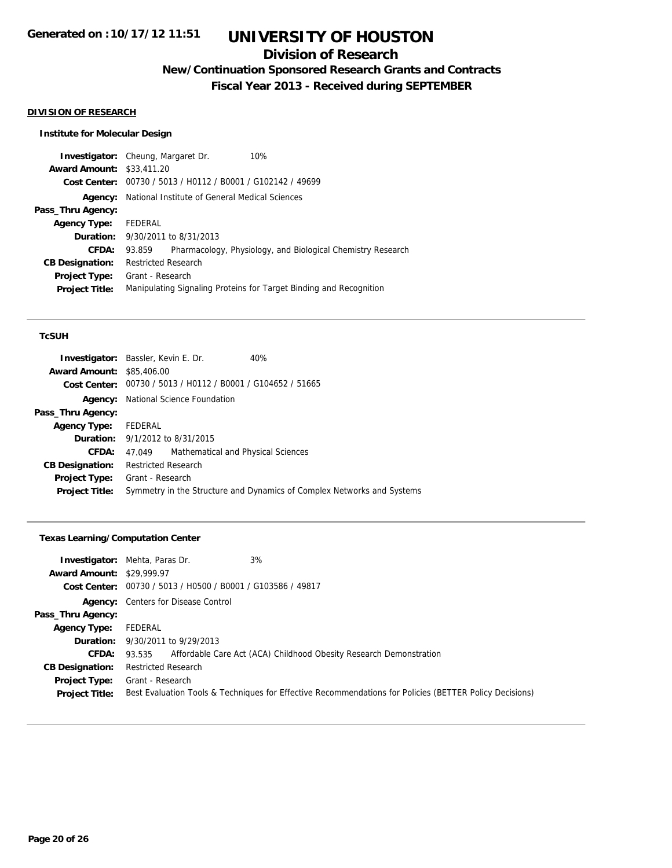## **Division of Research**

**New/Continuation Sponsored Research Grants and Contracts**

**Fiscal Year 2013 - Received during SEPTEMBER**

#### **DIVISION OF RESEARCH**

### **Institute for Molecular Design**

|                                  | 10%<br><b>Investigator:</b> Cheung, Margaret Dr.                      |
|----------------------------------|-----------------------------------------------------------------------|
| <b>Award Amount: \$33,411.20</b> |                                                                       |
|                                  | Cost Center: 00730 / 5013 / H0112 / B0001 / G102142 / 49699           |
| Agency:                          | National Institute of General Medical Sciences                        |
| Pass_Thru Agency:                |                                                                       |
| <b>Agency Type:</b>              | FEDERAL                                                               |
|                                  | <b>Duration:</b> 9/30/2011 to 8/31/2013                               |
| CFDA:                            | Pharmacology, Physiology, and Biological Chemistry Research<br>93.859 |
| <b>CB Designation:</b>           | <b>Restricted Research</b>                                            |
| <b>Project Type:</b>             | Grant - Research                                                      |
| <b>Project Title:</b>            | Manipulating Signaling Proteins for Target Binding and Recognition    |
|                                  |                                                                       |

#### **TcSUH**

| <b>Investigator:</b> Bassler, Kevin E. Dr. |                  |                                                             | 40%                                                                    |
|--------------------------------------------|------------------|-------------------------------------------------------------|------------------------------------------------------------------------|
| <b>Award Amount: \$85,406.00</b>           |                  |                                                             |                                                                        |
|                                            |                  | Cost Center: 00730 / 5013 / H0112 / B0001 / G104652 / 51665 |                                                                        |
|                                            |                  | <b>Agency:</b> National Science Foundation                  |                                                                        |
| Pass_Thru Agency:                          |                  |                                                             |                                                                        |
| Agency Type: FEDERAL                       |                  |                                                             |                                                                        |
| <b>Duration:</b> 9/1/2012 to 8/31/2015     |                  |                                                             |                                                                        |
| <b>CFDA:</b>                               | 47.049           | Mathematical and Physical Sciences                          |                                                                        |
| <b>CB Designation:</b> Restricted Research |                  |                                                             |                                                                        |
| Project Type:                              | Grant - Research |                                                             |                                                                        |
| <b>Project Title:</b>                      |                  |                                                             | Symmetry in the Structure and Dynamics of Complex Networks and Systems |
|                                            |                  |                                                             |                                                                        |

#### **Texas Learning/Computation Center**

| <b>Award Amount: \$29,999.97</b>              | 3%<br><b>Investigator:</b> Mehta, Paras Dr.<br>Cost Center: 00730 / 5013 / H0500 / B0001 / G103586 / 49817                  |  |
|-----------------------------------------------|-----------------------------------------------------------------------------------------------------------------------------|--|
|                                               | <b>Agency:</b> Centers for Disease Control                                                                                  |  |
| Pass_Thru Agency:                             |                                                                                                                             |  |
| <b>Agency Type:</b>                           | FEDERAL                                                                                                                     |  |
|                                               | <b>Duration:</b> 9/30/2011 to 9/29/2013                                                                                     |  |
| <b>CFDA:</b>                                  | 93.535 Affordable Care Act (ACA) Childhood Obesity Research Demonstration                                                   |  |
| <b>CB Designation:</b>                        | <b>Restricted Research</b>                                                                                                  |  |
| <b>Project Type:</b><br><b>Project Title:</b> | Grant - Research<br>Best Evaluation Tools & Techniques for Effective Recommendations for Policies (BETTER Policy Decisions) |  |
|                                               |                                                                                                                             |  |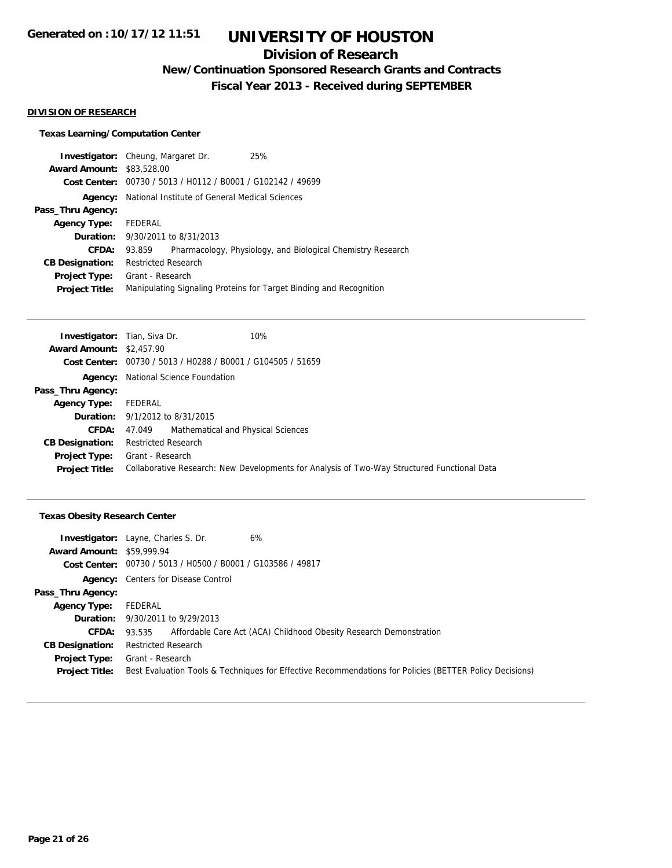## **Division of Research**

**New/Continuation Sponsored Research Grants and Contracts**

**Fiscal Year 2013 - Received during SEPTEMBER**

#### **DIVISION OF RESEARCH**

### **Texas Learning/Computation Center**

|                                  | 25%<br><b>Investigator:</b> Cheung, Margaret Dr.                      |  |  |
|----------------------------------|-----------------------------------------------------------------------|--|--|
| <b>Award Amount: \$83,528,00</b> |                                                                       |  |  |
|                                  | Cost Center: 00730 / 5013 / H0112 / B0001 / G102142 / 49699           |  |  |
| Agency:                          | National Institute of General Medical Sciences                        |  |  |
| Pass_Thru Agency:                |                                                                       |  |  |
| <b>Agency Type:</b>              | FEDERAL                                                               |  |  |
|                                  | <b>Duration:</b> 9/30/2011 to 8/31/2013                               |  |  |
| CFDA:                            | Pharmacology, Physiology, and Biological Chemistry Research<br>93.859 |  |  |
| <b>CB Designation:</b>           | <b>Restricted Research</b>                                            |  |  |
| Project Type:                    | Grant - Research                                                      |  |  |
| <b>Project Title:</b>            | Manipulating Signaling Proteins for Target Binding and Recognition    |  |  |

| <b>Investigator:</b> Tian, Siva Dr. | 10%                                                                                         |  |  |
|-------------------------------------|---------------------------------------------------------------------------------------------|--|--|
| <b>Award Amount: \$2,457.90</b>     |                                                                                             |  |  |
|                                     | Cost Center: 00730 / 5013 / H0288 / B0001 / G104505 / 51659                                 |  |  |
| Agency:                             | National Science Foundation                                                                 |  |  |
| Pass_Thru Agency:                   |                                                                                             |  |  |
| <b>Agency Type:</b>                 | FEDERAL                                                                                     |  |  |
|                                     | <b>Duration:</b> 9/1/2012 to 8/31/2015                                                      |  |  |
| <b>CFDA:</b>                        | Mathematical and Physical Sciences<br>47.049                                                |  |  |
| <b>CB Designation:</b>              | <b>Restricted Research</b>                                                                  |  |  |
| <b>Project Type:</b>                | Grant - Research                                                                            |  |  |
| <b>Project Title:</b>               | Collaborative Research: New Developments for Analysis of Two-Way Structured Functional Data |  |  |

### **Texas Obesity Research Center**

| 6%<br><b>Investigator:</b> Layne, Charles S. Dr.                                                        |
|---------------------------------------------------------------------------------------------------------|
| <b>Award Amount: \$59,999.94</b>                                                                        |
| Cost Center: 00730 / 5013 / H0500 / B0001 / G103586 / 49817                                             |
| <b>Agency:</b> Centers for Disease Control                                                              |
|                                                                                                         |
| FEDERAL                                                                                                 |
| <b>Duration:</b> 9/30/2011 to 9/29/2013                                                                 |
| Affordable Care Act (ACA) Childhood Obesity Research Demonstration<br>93.535                            |
| <b>Restricted Research</b>                                                                              |
| Grant - Research                                                                                        |
| Best Evaluation Tools & Techniques for Effective Recommendations for Policies (BETTER Policy Decisions) |
|                                                                                                         |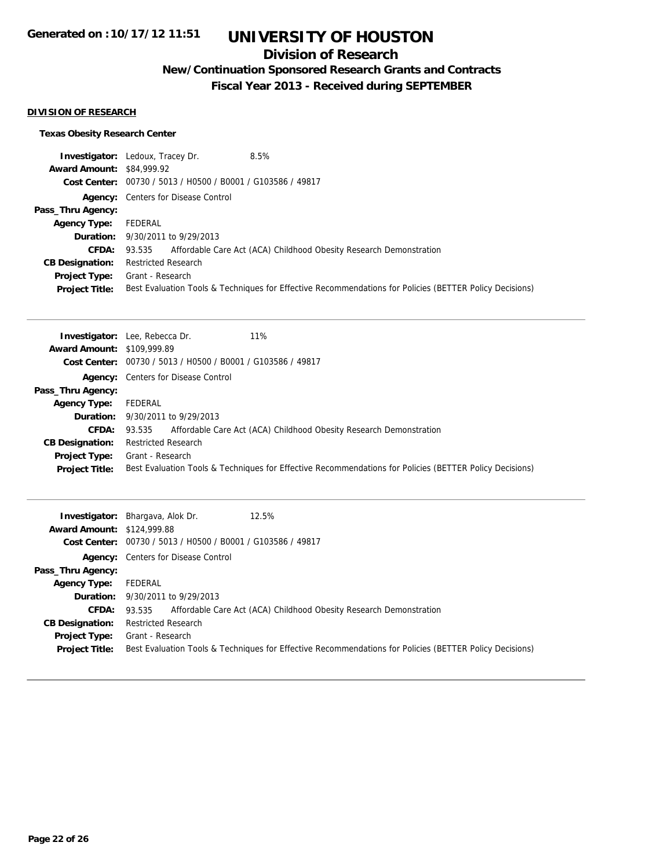## **Division of Research**

# **New/Continuation Sponsored Research Grants and Contracts**

**Fiscal Year 2013 - Received during SEPTEMBER**

### **DIVISION OF RESEARCH**

### **Texas Obesity Research Center**

|                                  | 8.5%<br><b>Investigator:</b> Ledoux, Tracey Dr.                                                         |
|----------------------------------|---------------------------------------------------------------------------------------------------------|
| <b>Award Amount: \$84,999.92</b> |                                                                                                         |
|                                  | Cost Center: 00730 / 5013 / H0500 / B0001 / G103586 / 49817                                             |
|                                  | <b>Agency:</b> Centers for Disease Control                                                              |
| Pass_Thru Agency:                |                                                                                                         |
| <b>Agency Type:</b>              | FEDERAL                                                                                                 |
|                                  | <b>Duration:</b> 9/30/2011 to 9/29/2013                                                                 |
| <b>CFDA:</b>                     | 93.535 Affordable Care Act (ACA) Childhood Obesity Research Demonstration                               |
| <b>CB Designation:</b>           | <b>Restricted Research</b>                                                                              |
| Project Type:                    | Grant - Research                                                                                        |
| <b>Project Title:</b>            | Best Evaluation Tools & Techniques for Effective Recommendations for Policies (BETTER Policy Decisions) |

|                                   | 11%<br><b>Investigator:</b> Lee, Rebecca Dr.                                                            |
|-----------------------------------|---------------------------------------------------------------------------------------------------------|
| <b>Award Amount: \$109,999.89</b> |                                                                                                         |
|                                   | Cost Center: 00730 / 5013 / H0500 / B0001 / G103586 / 49817                                             |
|                                   | <b>Agency:</b> Centers for Disease Control                                                              |
| Pass_Thru Agency:                 |                                                                                                         |
| <b>Agency Type:</b>               | FEDERAL                                                                                                 |
|                                   | <b>Duration:</b> 9/30/2011 to 9/29/2013                                                                 |
| <b>CFDA:</b>                      | Affordable Care Act (ACA) Childhood Obesity Research Demonstration<br>93.535                            |
| <b>CB Designation:</b>            | <b>Restricted Research</b>                                                                              |
| Project Type:                     | Grant - Research                                                                                        |
| <b>Project Title:</b>             | Best Evaluation Tools & Techniques for Effective Recommendations for Policies (BETTER Policy Decisions) |

| <b>Award Amount: \$124,999.88</b> | 12.5%<br><b>Investigator:</b> Bhargava, Alok Dr.<br>Cost Center: 00730 / 5013 / H0500 / B0001 / G103586 / 49817 |
|-----------------------------------|-----------------------------------------------------------------------------------------------------------------|
|                                   | <b>Agency:</b> Centers for Disease Control                                                                      |
| Pass_Thru Agency:                 |                                                                                                                 |
| <b>Agency Type:</b>               | FEDERAL                                                                                                         |
|                                   | <b>Duration:</b> 9/30/2011 to 9/29/2013                                                                         |
| <b>CFDA:</b>                      | Affordable Care Act (ACA) Childhood Obesity Research Demonstration<br>93.535                                    |
| <b>CB Designation:</b>            | <b>Restricted Research</b>                                                                                      |
| Project Type:                     | Grant - Research                                                                                                |
| <b>Project Title:</b>             | Best Evaluation Tools & Techniques for Effective Recommendations for Policies (BETTER Policy Decisions)         |
|                                   |                                                                                                                 |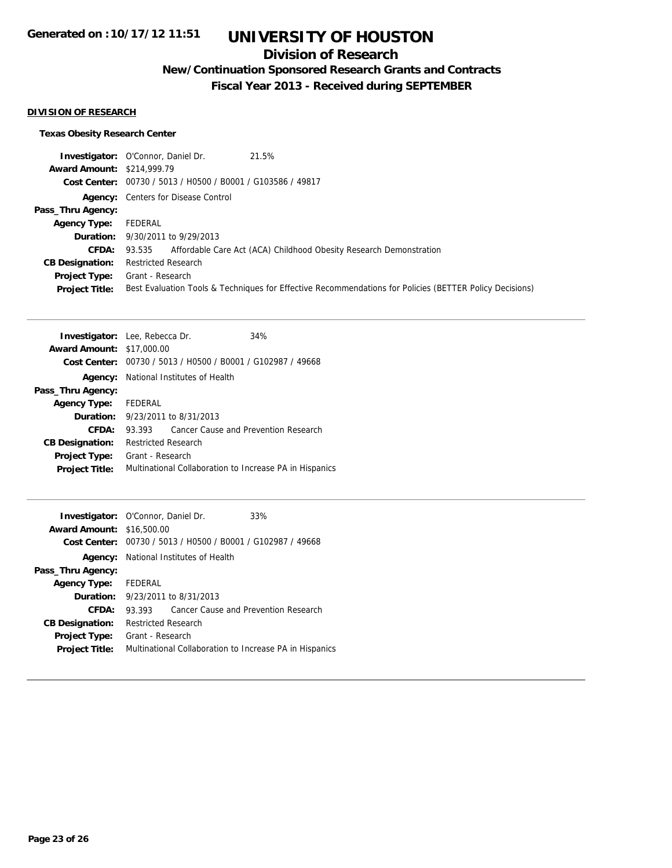## **Division of Research**

**New/Continuation Sponsored Research Grants and Contracts**

**Fiscal Year 2013 - Received during SEPTEMBER**

### **DIVISION OF RESEARCH**

### **Texas Obesity Research Center**

|                                   | 21.5%<br><b>Investigator:</b> O'Connor, Daniel Dr.                                                      |
|-----------------------------------|---------------------------------------------------------------------------------------------------------|
| <b>Award Amount: \$214,999.79</b> |                                                                                                         |
|                                   | Cost Center: 00730 / 5013 / H0500 / B0001 / G103586 / 49817                                             |
|                                   | <b>Agency:</b> Centers for Disease Control                                                              |
| Pass_Thru Agency:                 |                                                                                                         |
| <b>Agency Type:</b> FEDERAL       |                                                                                                         |
|                                   | <b>Duration:</b> 9/30/2011 to 9/29/2013                                                                 |
|                                   | <b>CFDA:</b> 93.535 Affordable Care Act (ACA) Childhood Obesity Research Demonstration                  |
| <b>CB Designation:</b>            | <b>Restricted Research</b>                                                                              |
| <b>Project Type:</b>              | Grant - Research                                                                                        |
| <b>Project Title:</b>             | Best Evaluation Tools & Techniques for Effective Recommendations for Policies (BETTER Policy Decisions) |

| <b>Investigator:</b> Lee, Rebecca Dr. |                                                         |                                                             | 34%                                  |
|---------------------------------------|---------------------------------------------------------|-------------------------------------------------------------|--------------------------------------|
| <b>Award Amount: \$17,000.00</b>      |                                                         |                                                             |                                      |
|                                       |                                                         | Cost Center: 00730 / 5013 / H0500 / B0001 / G102987 / 49668 |                                      |
|                                       | <b>Agency:</b> National Institutes of Health            |                                                             |                                      |
| Pass_Thru Agency:                     |                                                         |                                                             |                                      |
| <b>Agency Type:</b>                   | FEDERAL                                                 |                                                             |                                      |
|                                       |                                                         | <b>Duration:</b> $9/23/2011$ to $8/31/2013$                 |                                      |
| CFDA:                                 | 93.393                                                  |                                                             | Cancer Cause and Prevention Research |
| <b>CB Designation:</b>                | <b>Restricted Research</b>                              |                                                             |                                      |
| Project Type:                         | Grant - Research                                        |                                                             |                                      |
| <b>Project Title:</b>                 | Multinational Collaboration to Increase PA in Hispanics |                                                             |                                      |
|                                       |                                                         |                                                             |                                      |

|                                                             |                                             | 33%                                                                                                                                                                                                                                                  |
|-------------------------------------------------------------|---------------------------------------------|------------------------------------------------------------------------------------------------------------------------------------------------------------------------------------------------------------------------------------------------------|
|                                                             |                                             |                                                                                                                                                                                                                                                      |
| Cost Center: 00730 / 5013 / H0500 / B0001 / G102987 / 49668 |                                             |                                                                                                                                                                                                                                                      |
|                                                             |                                             |                                                                                                                                                                                                                                                      |
|                                                             |                                             |                                                                                                                                                                                                                                                      |
|                                                             |                                             |                                                                                                                                                                                                                                                      |
|                                                             |                                             |                                                                                                                                                                                                                                                      |
| 93.393                                                      |                                             |                                                                                                                                                                                                                                                      |
|                                                             |                                             |                                                                                                                                                                                                                                                      |
| Grant - Research                                            |                                             |                                                                                                                                                                                                                                                      |
|                                                             |                                             |                                                                                                                                                                                                                                                      |
|                                                             | <b>Award Amount: \$16,500.00</b><br>FEDERAL | <b>Investigator:</b> O'Connor, Daniel Dr.<br><b>Agency:</b> National Institutes of Health<br>9/23/2011 to 8/31/2013<br>Cancer Cause and Prevention Research<br><b>Restricted Research</b><br>Multinational Collaboration to Increase PA in Hispanics |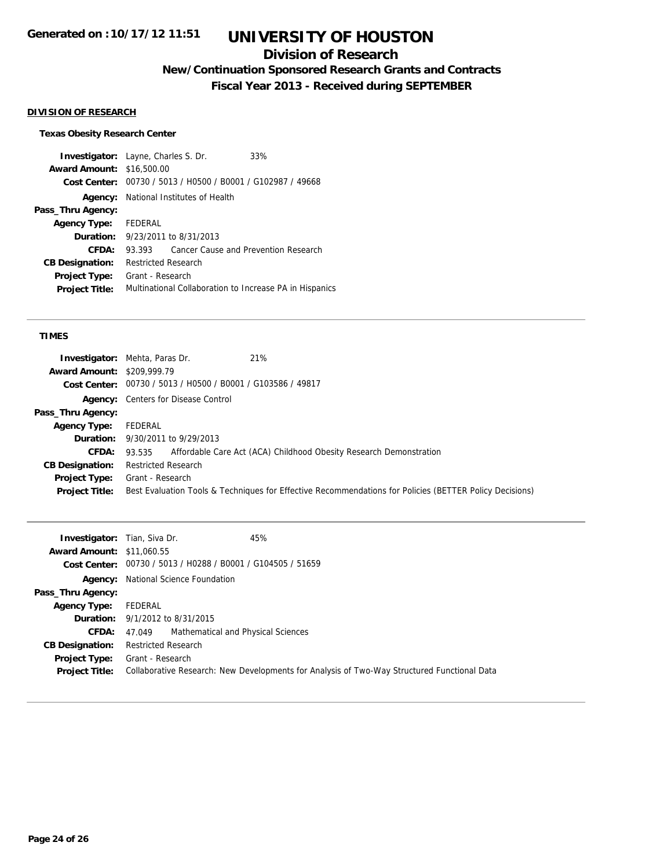## **Division of Research**

**New/Continuation Sponsored Research Grants and Contracts**

**Fiscal Year 2013 - Received during SEPTEMBER**

#### **DIVISION OF RESEARCH**

#### **Texas Obesity Research Center**

**Investigator:** Layne, Charles S. Dr. 33% **Award Amount:** \$16,500.00 **Cost Center:** 00730 / 5013 / H0500 / B0001 / G102987 / 49668 **Agency:** National Institutes of Health **Pass\_Thru Agency: Agency Type:** FEDERAL **Duration:** 9/23/2011 to 8/31/2013 **CFDA:** 93.393 Cancer Cause and Prevention Research **CB Designation:** Restricted Research **Project Type:** Grant - Research **Project Title:** Multinational Collaboration to Increase PA in Hispanics

#### **TIMES**

|                                   | <b>Investigator:</b> Mehta, Paras Dr.<br>21%                                                            |
|-----------------------------------|---------------------------------------------------------------------------------------------------------|
| <b>Award Amount: \$209,999.79</b> |                                                                                                         |
|                                   | Cost Center: 00730 / 5013 / H0500 / B0001 / G103586 / 49817                                             |
|                                   | <b>Agency:</b> Centers for Disease Control                                                              |
| Pass_Thru Agency:                 |                                                                                                         |
| <b>Agency Type:</b>               | FEDERAL                                                                                                 |
|                                   | <b>Duration:</b> 9/30/2011 to 9/29/2013                                                                 |
| <b>CFDA:</b>                      | 93.535 Affordable Care Act (ACA) Childhood Obesity Research Demonstration                               |
| <b>CB Designation:</b>            | <b>Restricted Research</b>                                                                              |
| Project Type:                     | Grant - Research                                                                                        |
| <b>Project Title:</b>             | Best Evaluation Tools & Techniques for Effective Recommendations for Policies (BETTER Policy Decisions) |
|                                   |                                                                                                         |

| <b>Investigator:</b> Tian, Siva Dr. | 45%                                                                                         |
|-------------------------------------|---------------------------------------------------------------------------------------------|
| <b>Award Amount: \$11,060.55</b>    |                                                                                             |
|                                     | Cost Center: 00730 / 5013 / H0288 / B0001 / G104505 / 51659                                 |
|                                     | <b>Agency:</b> National Science Foundation                                                  |
| Pass_Thru Agency:                   |                                                                                             |
| <b>Agency Type:</b>                 | FEDERAL                                                                                     |
|                                     | <b>Duration:</b> 9/1/2012 to 8/31/2015                                                      |
| <b>CFDA:</b>                        | 47.049 Mathematical and Physical Sciences                                                   |
| <b>CB Designation:</b>              | <b>Restricted Research</b>                                                                  |
| <b>Project Type:</b>                | Grant - Research                                                                            |
| <b>Project Title:</b>               | Collaborative Research: New Developments for Analysis of Two-Way Structured Functional Data |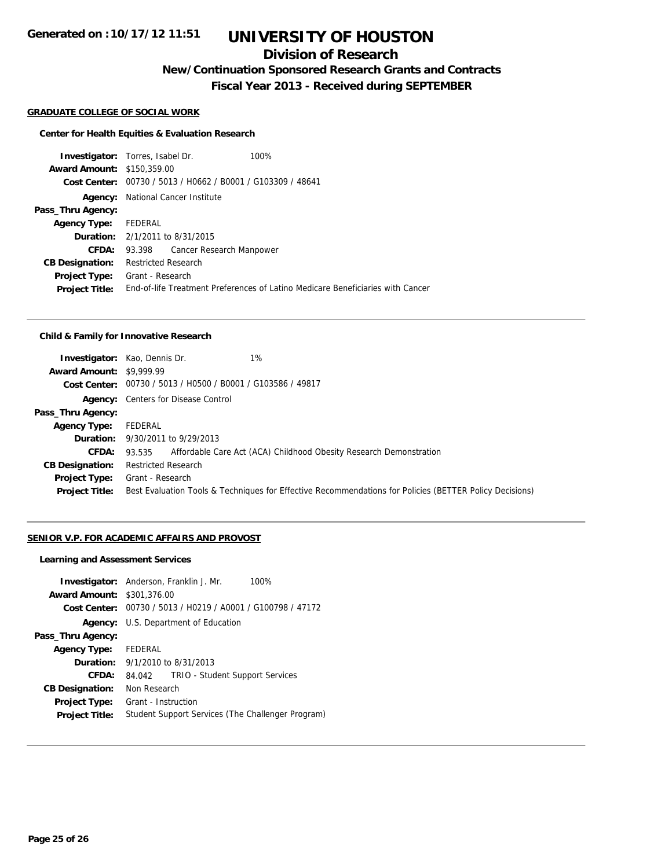## **Division of Research**

**New/Continuation Sponsored Research Grants and Contracts**

**Fiscal Year 2013 - Received during SEPTEMBER**

#### **GRADUATE COLLEGE OF SOCIAL WORK**

#### **Center for Health Equities & Evaluation Research**

**Investigator:** Torres, Isabel Dr. 100% **Award Amount:** \$150,359.00 **Cost Center:** 00730 / 5013 / H0662 / B0001 / G103309 / 48641 **Agency:** National Cancer Institute **Pass\_Thru Agency: Agency Type:** FEDERAL **Duration:** 2/1/2011 to 8/31/2015 **CFDA:** 93.398 Cancer Research Manpower **CB Designation:** Restricted Research **Project Type:** Grant - Research **Project Title:** End-of-life Treatment Preferences of Latino Medicare Beneficiaries with Cancer

#### **Child & Family for Innovative Research**

|                                 | 1%<br><b>Investigator:</b> Kao, Dennis Dr.                  |                                                                                                         |
|---------------------------------|-------------------------------------------------------------|---------------------------------------------------------------------------------------------------------|
| <b>Award Amount: \$9,999.99</b> |                                                             |                                                                                                         |
|                                 | Cost Center: 00730 / 5013 / H0500 / B0001 / G103586 / 49817 |                                                                                                         |
|                                 | <b>Agency:</b> Centers for Disease Control                  |                                                                                                         |
| Pass_Thru Agency:               |                                                             |                                                                                                         |
| <b>Agency Type:</b>             | FEDERAL                                                     |                                                                                                         |
|                                 | <b>Duration:</b> 9/30/2011 to 9/29/2013                     |                                                                                                         |
|                                 |                                                             | <b>CFDA:</b> 93.535 Affordable Care Act (ACA) Childhood Obesity Research Demonstration                  |
| <b>CB Designation:</b>          | <b>Restricted Research</b>                                  |                                                                                                         |
| Project Type:                   | Grant - Research                                            |                                                                                                         |
| <b>Project Title:</b>           |                                                             | Best Evaluation Tools & Techniques for Effective Recommendations for Policies (BETTER Policy Decisions) |
|                                 |                                                             |                                                                                                         |

#### **SENIOR V.P. FOR ACADEMIC AFFAIRS AND PROVOST**

#### **Learning and Assessment Services**

|                                   | <b>Investigator:</b> Anderson, Franklin J. Mr.<br>100%      |
|-----------------------------------|-------------------------------------------------------------|
| <b>Award Amount: \$301,376.00</b> |                                                             |
|                                   | Cost Center: 00730 / 5013 / H0219 / A0001 / G100798 / 47172 |
|                                   | <b>Agency:</b> U.S. Department of Education                 |
| Pass_Thru Agency:                 |                                                             |
| <b>Agency Type:</b>               | FEDERAL                                                     |
|                                   | <b>Duration:</b> $9/1/2010$ to $8/31/2013$                  |
| CFDA:                             | TRIO - Student Support Services<br>84.042                   |
| <b>CB Designation:</b>            | Non Research                                                |
| <b>Project Type:</b>              | Grant - Instruction                                         |
| <b>Project Title:</b>             | Student Support Services (The Challenger Program)           |